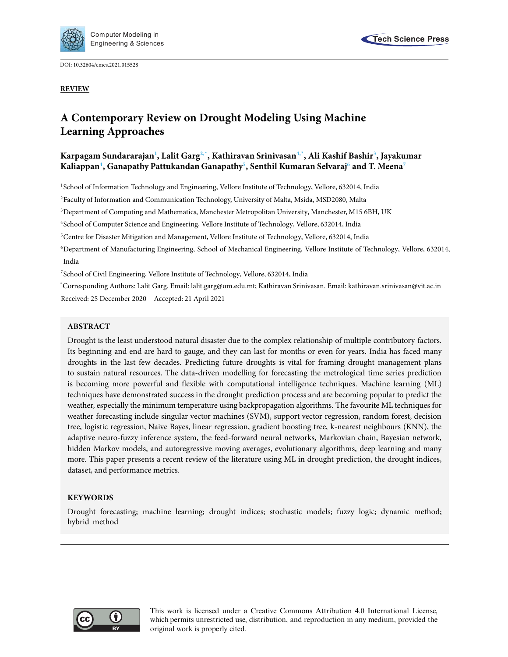

DOI: 10.32604/cmes.2021.015528

**REVIEW**

# **A Contemporary Review on Drought Modeling Using Machine Learning Approaches**

# **Karpagam Sundararajan<sup>1</sup> , Lalit Garg2,\*, Kathiravan Srinivasan4,\*, Ali Kashif Bashir<sup>3</sup> , Jayakumar Kaliappan<sup>4</sup> , Ganapathy Pattukandan Ganapathy<sup>5</sup> , Senthil Kumaran Selvaraj<sup>6</sup> and T. Meena<sup>7</sup>**

1 School of Information Technology and Engineering, Vellore Institute of Technology, Vellore, 632014, India

<sup>2</sup>Faculty of Information and Communication Technology, University of Malta, Msida, MSD2080, Malta

<sup>3</sup>Department of Computing and Mathematics, Manchester Metropolitan University, Manchester, M15 6BH, UK

4 School of Computer Science and Engineering, Vellore Institute of Technology, Vellore, 632014, India

<sup>5</sup>Centre for Disaster Mitigation and Management, Vellore Institute of Technology, Vellore, 632014, India

<sup>6</sup>Department of Manufacturing Engineering, School of Mechanical Engineering, Vellore Institute of Technology, Vellore, 632014, India

7 School of Civil Engineering, Vellore Institute of Technology, Vellore, 632014, India

\*Corresponding Authors: Lalit Garg. Email: lalit.garg@um.edu.mt; Kathiravan Srinivasan. Email: kathiravan.srinivasan@vit.ac.in Received: 25 December 2020 Accepted: 21 April 2021

### **ABSTRACT**

Drought is the least understood natural disaster due to the complex relationship of multiple contributory factors. Its beginning and end are hard to gauge, and they can last for months or even for years. India has faced many droughts in the last few decades. Predicting future droughts is vital for framing drought management plans to sustain natural resources. The data-driven modelling for forecasting the metrological time series prediction is becoming more powerful and flexible with computational intelligence techniques. Machine learning (ML) techniques have demonstrated success in the drought prediction process and are becoming popular to predict the weather, especially the minimum temperature using backpropagation algorithms. The favourite ML techniques for weather forecasting include singular vector machines (SVM), support vector regression, random forest, decision tree, logistic regression, Naive Bayes, linear regression, gradient boosting tree, k-nearest neighbours (KNN), the adaptive neuro-fuzzy inference system, the feed-forward neural networks, Markovian chain, Bayesian network, hidden Markov models, and autoregressive moving averages, evolutionary algorithms, deep learning and many more. This paper presents a recent review of the literature using ML in drought prediction, the drought indices, dataset, and performance metrics.

### **KEYWORDS**

Drought forecasting; machine learning; drought indices; stochastic models; fuzzy logic; dynamic method; hybrid method



This work is licensed under a Creative Commons Attribution 4.0 International License, which permits unrestricted use, distribution, and reproduction in any medium, provided the original work is properly cited.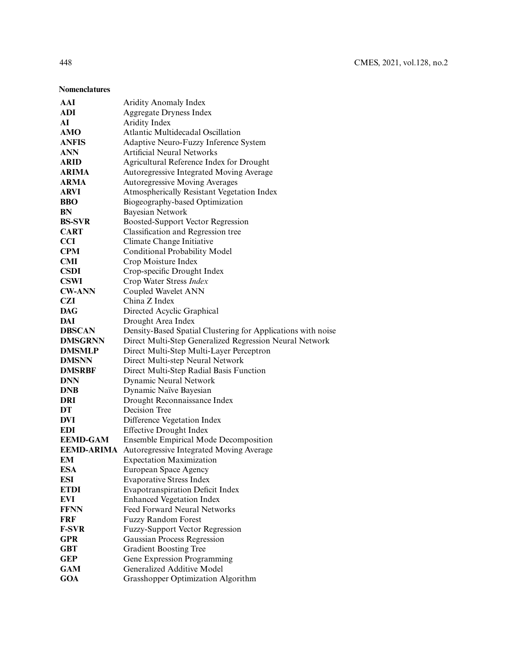### **Nomenclatures**

| AAI               | <b>Aridity Anomaly Index</b>                                 |
|-------------------|--------------------------------------------------------------|
| ADI               | <b>Aggregate Dryness Index</b>                               |
| AI                | Aridity Index                                                |
| AMO               | Atlantic Multidecadal Oscillation                            |
| <b>ANFIS</b>      | Adaptive Neuro-Fuzzy Inference System                        |
| <b>ANN</b>        | <b>Artificial Neural Networks</b>                            |
| <b>ARID</b>       | Agricultural Reference Index for Drought                     |
| ARIMA             | Autoregressive Integrated Moving Average                     |
| <b>ARMA</b>       | Autoregressive Moving Averages                               |
| <b>ARVI</b>       | Atmospherically Resistant Vegetation Index                   |
| <b>BBO</b>        | Biogeography-based Optimization                              |
| BN                | Bayesian Network                                             |
| <b>BS-SVR</b>     | Boosted-Support Vector Regression                            |
| <b>CART</b>       | Classification and Regression tree                           |
| <b>CCI</b>        | Climate Change Initiative                                    |
| <b>CPM</b>        | Conditional Probability Model                                |
| <b>CMI</b>        | Crop Moisture Index                                          |
| <b>CSDI</b>       | Crop-specific Drought Index                                  |
| <b>CSWI</b>       | Crop Water Stress Index                                      |
| <b>CW-ANN</b>     | Coupled Wavelet ANN                                          |
| <b>CZI</b>        | China Z Index                                                |
| <b>DAG</b>        | Directed Acyclic Graphical                                   |
| DAI               | Drought Area Index                                           |
| <b>DBSCAN</b>     | Density-Based Spatial Clustering for Applications with noise |
| <b>DMSGRNN</b>    | Direct Multi-Step Generalized Regression Neural Network      |
| <b>DMSMLP</b>     | Direct Multi-Step Multi-Layer Perceptron                     |
| <b>DMSNN</b>      | Direct Multi-step Neural Network                             |
| <b>DMSRBF</b>     | Direct Multi-Step Radial Basis Function                      |
| <b>DNN</b>        | Dynamic Neural Network                                       |
| <b>DNB</b>        | Dynamic Naïve Bayesian                                       |
| DRI               | Drought Reconnaissance Index                                 |
| DT                | Decision Tree                                                |
| <b>DVI</b>        | Difference Vegetation Index                                  |
| <b>EDI</b>        | <b>Effective Drought Index</b>                               |
| <b>EEMD-GAM</b>   | Ensemble Empirical Mode Decomposition                        |
| <b>EEMD-ARIMA</b> | Autoregressive Integrated Moving Average                     |
| EM                | <b>Expectation Maximization</b>                              |
| <b>ESA</b>        | European Space Agency                                        |
| <b>ESI</b>        | <b>Evaporative Stress Index</b>                              |
| <b>ETDI</b>       | <b>Evapotranspiration Deficit Index</b>                      |
| <b>EVI</b>        | <b>Enhanced Vegetation Index</b>                             |
| <b>FFNN</b>       | Feed Forward Neural Networks                                 |
| FRF               | <b>Fuzzy Random Forest</b>                                   |
| <b>F-SVR</b>      | <b>Fuzzy-Support Vector Regression</b>                       |
| <b>GPR</b>        | Gaussian Process Regression                                  |
| <b>GBT</b>        | <b>Gradient Boosting Tree</b>                                |
| <b>GEP</b>        | Gene Expression Programming                                  |
| <b>GAM</b>        | Generalized Additive Model                                   |
| <b>GOA</b>        | Grasshopper Optimization Algorithm                           |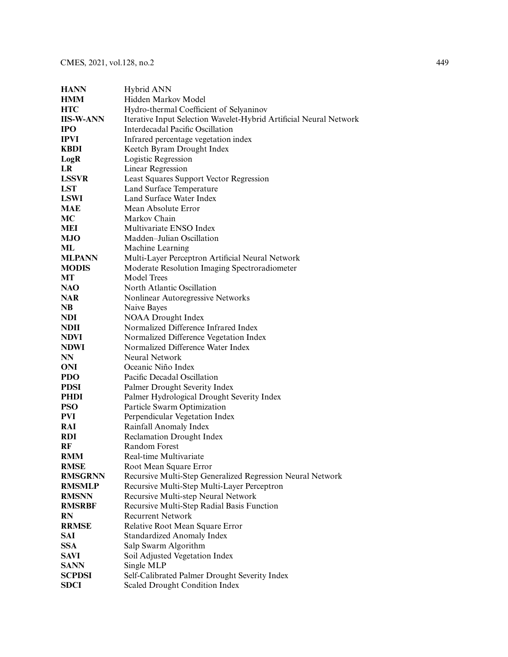| <b>HANN</b>      | Hybrid ANN                                                         |
|------------------|--------------------------------------------------------------------|
| <b>HMM</b>       | Hidden Markov Model                                                |
| <b>HTC</b>       | Hydro-thermal Coefficient of Selyaninov                            |
| <b>IIS-W-ANN</b> | Iterative Input Selection Wavelet-Hybrid Artificial Neural Network |
| <b>IPO</b>       | Interdecadal Pacific Oscillation                                   |
| <b>IPVI</b>      | Infrared percentage vegetation index                               |
| <b>KBDI</b>      | Keetch Byram Drought Index                                         |
| LogR             | Logistic Regression                                                |
| LR               | Linear Regression                                                  |
| <b>LSSVR</b>     | Least Squares Support Vector Regression                            |
| <b>LST</b>       | Land Surface Temperature                                           |
| <b>LSWI</b>      | Land Surface Water Index                                           |
| <b>MAE</b>       | Mean Absolute Error                                                |
| MC               | Markov Chain                                                       |
| MEI              | Multivariate ENSO Index                                            |
| <b>MJO</b>       | Madden-Julian Oscillation                                          |
| ML               | Machine Learning                                                   |
| <b>MLPANN</b>    | Multi-Layer Perceptron Artificial Neural Network                   |
| <b>MODIS</b>     | Moderate Resolution Imaging Spectroradiometer                      |
| МT               | <b>Model Trees</b>                                                 |
| NAO              | North Atlantic Oscillation                                         |
| <b>NAR</b>       | Nonlinear Autoregressive Networks                                  |
| NB               | Naive Bayes                                                        |
| <b>NDI</b>       | <b>NOAA</b> Drought Index                                          |
| <b>NDII</b>      | Normalized Difference Infrared Index                               |
| <b>NDVI</b>      | Normalized Difference Vegetation Index                             |
| <b>NDWI</b>      | Normalized Difference Water Index                                  |
| NN               | Neural Network                                                     |
| <b>ONI</b>       | Oceanic Niño Index                                                 |
| <b>PDO</b>       | Pacific Decadal Oscillation                                        |
| <b>PDSI</b>      | Palmer Drought Severity Index                                      |
| <b>PHDI</b>      | Palmer Hydrological Drought Severity Index                         |
| <b>PSO</b>       | Particle Swarm Optimization                                        |
| <b>PVI</b>       | Perpendicular Vegetation Index                                     |
| RAI              | Rainfall Anomaly Index                                             |
| <b>RDI</b>       | <b>Reclamation Drought Index</b>                                   |
| RF               | Random Forest                                                      |
| <b>RMM</b>       | Real-time Multivariate                                             |
| <b>RMSE</b>      | Root Mean Square Error                                             |
| <b>RMSGRNN</b>   | Recursive Multi-Step Generalized Regression Neural Network         |
| <b>RMSMLP</b>    | Recursive Multi-Step Multi-Layer Perceptron                        |
| <b>RMSNN</b>     | Recursive Multi-step Neural Network                                |
| <b>RMSRBF</b>    | Recursive Multi-Step Radial Basis Function                         |
| RN               | <b>Recurrent Network</b>                                           |
| <b>RRMSE</b>     | Relative Root Mean Square Error                                    |
| <b>SAI</b>       | <b>Standardized Anomaly Index</b>                                  |
| <b>SSA</b>       | Salp Swarm Algorithm                                               |
| <b>SAVI</b>      | Soil Adjusted Vegetation Index                                     |
| <b>SANN</b>      | Single MLP                                                         |
| <b>SCPDSI</b>    | Self-Calibrated Palmer Drought Severity Index                      |
| <b>SDCI</b>      | Scaled Drought Condition Index                                     |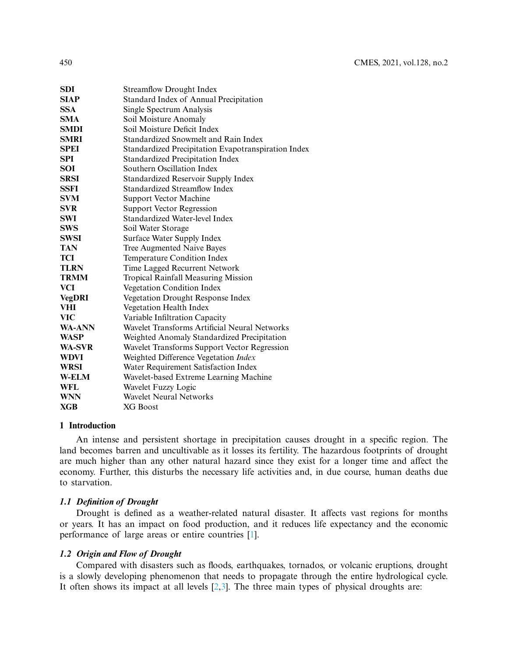| SDI           | <b>Streamflow Drought Index</b>                     |
|---------------|-----------------------------------------------------|
| <b>SIAP</b>   | Standard Index of Annual Precipitation              |
| <b>SSA</b>    | Single Spectrum Analysis                            |
| <b>SMA</b>    | Soil Moisture Anomaly                               |
| <b>SMDI</b>   | Soil Moisture Deficit Index                         |
| <b>SMRI</b>   | Standardized Snowmelt and Rain Index                |
| <b>SPEI</b>   | Standardized Precipitation Evapotranspiration Index |
| SPI           | <b>Standardized Precipitation Index</b>             |
| <b>SOI</b>    | Southern Oscillation Index                          |
| SRSI          | Standardized Reservoir Supply Index                 |
| SSFI          | Standardized Streamflow Index                       |
| <b>SVM</b>    | <b>Support Vector Machine</b>                       |
| <b>SVR</b>    | <b>Support Vector Regression</b>                    |
| SWI           | Standardized Water-level Index                      |
| <b>SWS</b>    | Soil Water Storage                                  |
| SWSI          | Surface Water Supply Index                          |
| TAN           | Tree Augmented Naive Bayes                          |
| TCI           | Temperature Condition Index                         |
| <b>TLRN</b>   | Time Lagged Recurrent Network                       |
| TRMM          | <b>Tropical Rainfall Measuring Mission</b>          |
| VCI           | Vegetation Condition Index                          |
| <b>VegDRI</b> | Vegetation Drought Response Index                   |
| <b>VHI</b>    | Vegetation Health Index                             |
| <b>VIC</b>    | Variable Infiltration Capacity                      |
| <b>WA-ANN</b> | Wavelet Transforms Artificial Neural Networks       |
| <b>WASP</b>   | Weighted Anomaly Standardized Precipitation         |
| WA-SVR        | Wavelet Transforms Support Vector Regression        |
| WDVI          | Weighted Difference Vegetation Index                |
| <b>WRSI</b>   | Water Requirement Satisfaction Index                |
| <b>W-ELM</b>  | Wavelet-based Extreme Learning Machine              |
| WFL           | Wavelet Fuzzy Logic                                 |
| <b>WNN</b>    | <b>Wavelet Neural Networks</b>                      |
| <b>XGB</b>    | XG Boost                                            |

# **1 Introduction**

An intense and persistent shortage in precipitation causes drought in a specific region. The land becomes barren and uncultivable as it losses its fertility. The hazardous footprints of drought are much higher than any other natural hazard since they exist for a longer time and affect the economy. Further, this disturbs the necessary life activities and, in due course, human deaths due to starvation.

# **1.1 Definition of Drought**

Drought is defined as a weather-related natural disaster. It affects vast regions for months or years. It has an impact on food production, and it reduces life expectancy and the economic performance of large areas or entire countries [1].

# **1.2 Origin and Flow of Drought**

Compared with disasters such as floods, earthquakes, tornados, or volcanic eruptions, drought is a slowly developing phenomenon that needs to propagate through the entire hydrological cycle. It often shows its impact at all levels  $[2,3]$ . The three main types of physical droughts are: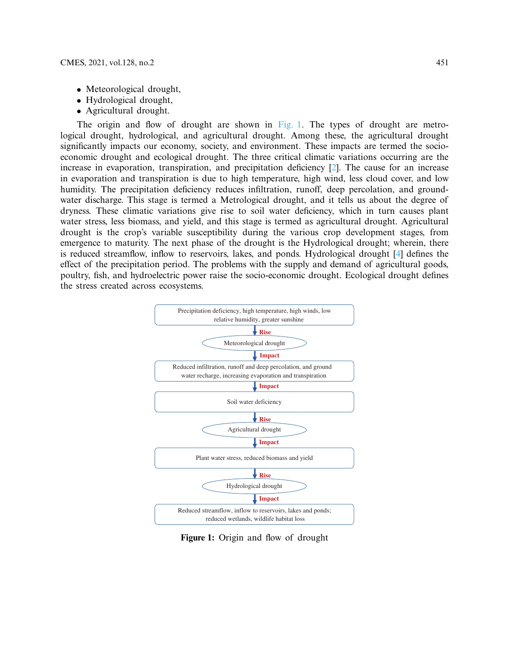- Meteorological drought,
- Hydrological drought,
- Agricultural drought.

The origin and flow of drought are shown in  $Fig. 1$ . The types of drought are metrological drought, hydrological, and agricultural drought. Among these, the agricultural drought significantly impacts our economy, society, and environment. These impacts are termed the socioeconomic drought and ecological drought. The three critical climatic variations occurring are the increase in evaporation, transpiration, and precipitation deficiency [2]. The cause for an increase in evaporation and transpiration is due to high temperature, high wind, less cloud cover, and low humidity. The precipitation deficiency reduces infiltration, runoff, deep percolation, and groundwater discharge. This stage is termed a Metrological drought, and it tells us about the degree of dryness. These climatic variations give rise to soil water deficiency, which in turn causes plant water stress, less biomass, and yield, and this stage is termed as agricultural drought. Agricultural drought is the crop's variable susceptibility during the various crop development stages, from emergence to maturity. The next phase of the drought is the Hydrological drought; wherein, there is reduced streamflow, inflow to reservoirs, lakes, and ponds. Hydrological drought [4] defines the effect of the precipitation period. The problems with the supply and demand of agricultural goods, poultry, fish, and hydroelectric power raise the socio-economic drought. Ecological drought defines the stress created across ecosystems.



**Figure 1:** Origin and flow of drought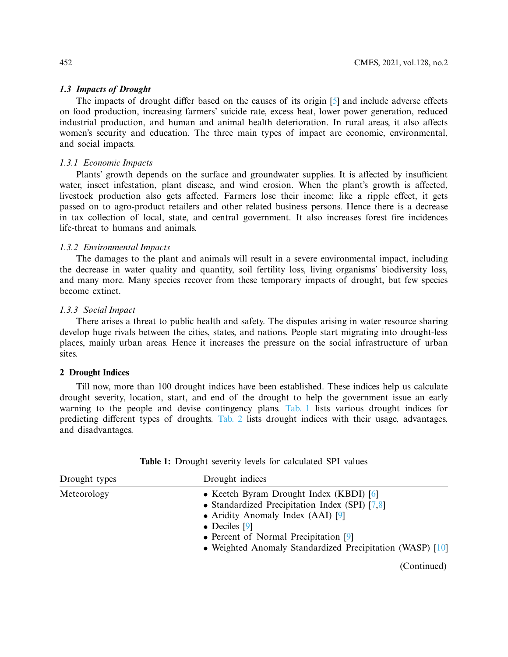### **1.3 Impacts of Drought**

The impacts of drought differ based on the causes of its origin [5] and include adverse effects on food production, increasing farmers' suicide rate, excess heat, lower power generation, reduced industrial production, and human and animal health deterioration. In rural areas, it also affects women's security and education. The three main types of impact are economic, environmental, and social impacts.

### *1.3.1 Economic Impacts*

Plants' growth depends on the surface and groundwater supplies. It is affected by insufficient water, insect infestation, plant disease, and wind erosion. When the plant's growth is affected, livestock production also gets affected. Farmers lose their income; like a ripple effect, it gets passed on to agro-product retailers and other related business persons. Hence there is a decrease in tax collection of local, state, and central government. It also increases forest fire incidences life-threat to humans and animals.

### *1.3.2 Environmental Impacts*

The damages to the plant and animals will result in a severe environmental impact, including the decrease in water quality and quantity, soil fertility loss, living organisms' biodiversity loss, and many more. Many species recover from these temporary impacts of drought, but few species become extinct.

### *1.3.3 Social Impact*

There arises a threat to public health and safety. The disputes arising in water resource sharing develop huge rivals between the cities, states, and nations. People start migrating into drought-less places, mainly urban areas. Hence it increases the pressure on the social infrastructure of urban sites.

### **2 Drought Indices**

Till now, more than 100 drought indices have been established. These indices help us calculate drought severity, location, start, and end of the drought to help the government issue an early warning to the people and devise contingency plans. Tab. 1 lists various drought indices for predicting different types of droughts. Tab. 2 lists drought indices with their usage, advantages, and disadvantages.

| Drought types | Drought indices                                                                                                                                                                                                                                                     |
|---------------|---------------------------------------------------------------------------------------------------------------------------------------------------------------------------------------------------------------------------------------------------------------------|
| Meteorology   | • Keetch Byram Drought Index (KBDI) [6]<br>• Standardized Precipitation Index (SPI) $[7,8]$<br>• Aridity Anomaly Index $(AAI)$ [9]<br>$\bullet$ Deciles [9]<br>• Percent of Normal Precipitation $[9]$<br>• Weighted Anomaly Standardized Precipitation (WASP) [10] |
|               |                                                                                                                                                                                                                                                                     |

**Table 1:** Drought severity levels for calculated SPI values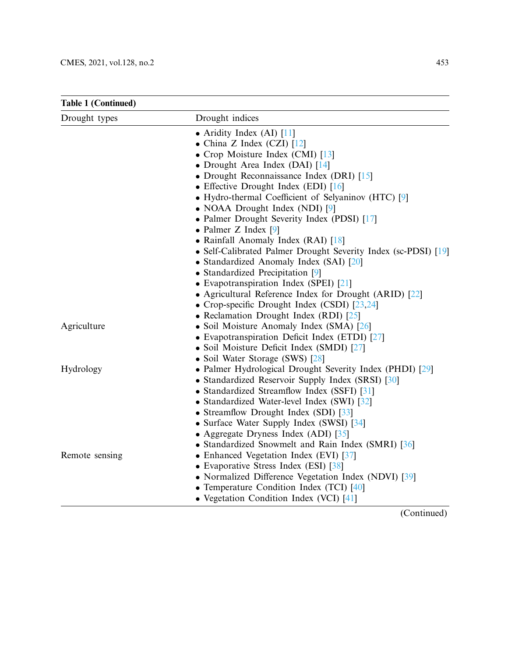| <b>Table 1 (Continued)</b> |                                                                |
|----------------------------|----------------------------------------------------------------|
| Drought types              | Drought indices                                                |
|                            | • Aridity Index (AI) $[11]$                                    |
|                            | • China Z Index (CZI) $[12]$                                   |
|                            | • Crop Moisture Index (CMI) $[13]$                             |
|                            | • Drought Area Index (DAI) [14]                                |
|                            | • Drought Reconnaissance Index (DRI) [15]                      |
|                            | • Effective Drought Index (EDI) $[16]$                         |
|                            | • Hydro-thermal Coefficient of Selyaninov (HTC) [9]            |
|                            | • NOAA Drought Index (NDI) [9]                                 |
|                            | • Palmer Drought Severity Index (PDSI) [17]                    |
|                            | • Palmer Z Index $[9]$                                         |
|                            | • Rainfall Anomaly Index (RAI) [18]                            |
|                            | • Self-Calibrated Palmer Drought Severity Index (sc-PDSI) [19] |
|                            | • Standardized Anomaly Index (SAI) [20]                        |
|                            | • Standardized Precipitation [9]                               |
|                            | • Evapotranspiration Index (SPEI) [21]                         |
|                            | • Agricultural Reference Index for Drought (ARID) [22]         |
|                            | • Crop-specific Drought Index (CSDI) [23,24]                   |
|                            | • Reclamation Drought Index (RDI) $[25]$                       |
| Agriculture                | • Soil Moisture Anomaly Index (SMA) [26]                       |
|                            | • Evapotranspiration Deficit Index (ETDI) [27]                 |
|                            | • Soil Moisture Deficit Index (SMDI) [27]                      |
|                            | • Soil Water Storage (SWS) [28]                                |
| Hydrology                  | • Palmer Hydrological Drought Severity Index (PHDI) [29]       |
|                            | • Standardized Reservoir Supply Index (SRSI) [30]              |
|                            | • Standardized Streamflow Index (SSFI) [31]                    |
|                            | • Standardized Water-level Index (SWI) [32]                    |
|                            | • Streamflow Drought Index (SDI) [33]                          |
|                            | • Surface Water Supply Index (SWSI) [34]                       |
|                            | • Aggregate Dryness Index (ADI) $[35]$                         |
|                            | • Standardized Snowmelt and Rain Index (SMRI) [36]             |
| Remote sensing             | • Enhanced Vegetation Index (EVI) [37]                         |
|                            | • Evaporative Stress Index (ESI) [38]                          |
|                            | • Normalized Difference Vegetation Index (NDVI) [39]           |
|                            | • Temperature Condition Index (TCI) [40]                       |
|                            | • Vegetation Condition Index (VCI) [41]                        |
|                            | <b>Contract Contract Contract</b><br>$\sqrt{ }$                |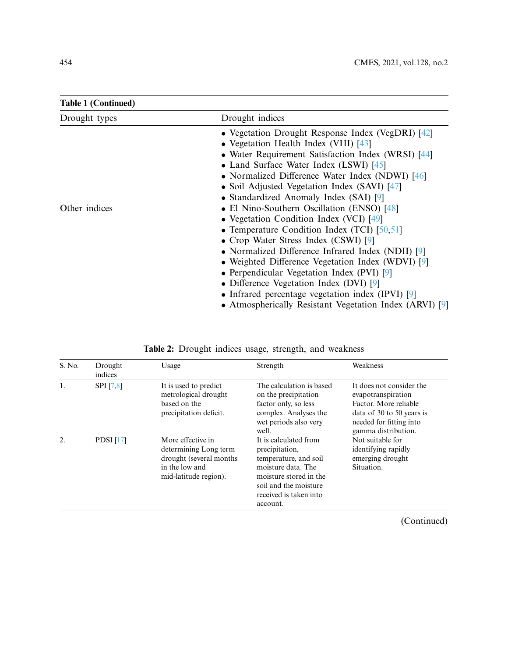| Table 1 (Continued) |                                                                                             |
|---------------------|---------------------------------------------------------------------------------------------|
| Drought types       | Drought indices                                                                             |
|                     | • Vegetation Drought Response Index (VegDRI) $[42]$<br>• Vegetation Health Index (VHI) [43] |
|                     | • Water Requirement Satisfaction Index (WRSI) [44]                                          |
|                     | • Land Surface Water Index (LSWI) [45]                                                      |
|                     | • Normalized Difference Water Index (NDWI) [46]                                             |
|                     | • Soil Adjusted Vegetation Index (SAVI) [47]                                                |
|                     | • Standardized Anomaly Index (SAI) [9]                                                      |
| Other indices       | • El Nino-Southern Oscillation (ENSO) [48]                                                  |
|                     | • Vegetation Condition Index (VCI) [49]                                                     |
|                     | • Temperature Condition Index (TCI) $[50,51]$                                               |
|                     | • Crop Water Stress Index (CSWI) [9]                                                        |
|                     | • Normalized Difference Infrared Index (NDII) [9]                                           |
|                     | • Weighted Difference Vegetation Index (WDVI) [9]                                           |
|                     | • Perpendicular Vegetation Index (PVI) [9]                                                  |
|                     | • Difference Vegetation Index (DVI) $[9]$                                                   |
|                     | • Infrared percentage vegetation index (IPVI) $[9]$                                         |
|                     | • Atmospherically Resistant Vegetation Index (ARVI) $[9]$                                   |

**Table 1 (Continued)**

|  |  | Table 2: Drought indices usage, strength, and weakness |  |
|--|--|--------------------------------------------------------|--|

| S. No. | Drought<br>indices | Usage                                                                                                            | Strength                                                                                                                                                                        | Weakness                                                                                                                                               |
|--------|--------------------|------------------------------------------------------------------------------------------------------------------|---------------------------------------------------------------------------------------------------------------------------------------------------------------------------------|--------------------------------------------------------------------------------------------------------------------------------------------------------|
| 1.     | <b>SPI</b> [7,8]   | It is used to predict<br>metrological drought<br>based on the<br>precipitation deficit.                          | The calculation is based<br>on the precipitation<br>factor only, so less<br>complex. Analyses the<br>wet periods also very<br>well.                                             | It does not consider the<br>evapotranspiration<br>Factor. More reliable<br>data of 30 to 50 years is<br>needed for fitting into<br>gamma distribution. |
| 2.     | PDSI $[17]$        | More effective in<br>determining Long term<br>drought (several months<br>in the low and<br>mid-latitude region). | It is calculated from<br>precipitation,<br>temperature, and soil<br>moisture data. The<br>moisture stored in the<br>soil and the moisture<br>received is taken into<br>account. | Not suitable for<br>identifying rapidly<br>emerging drought<br>Situation.                                                                              |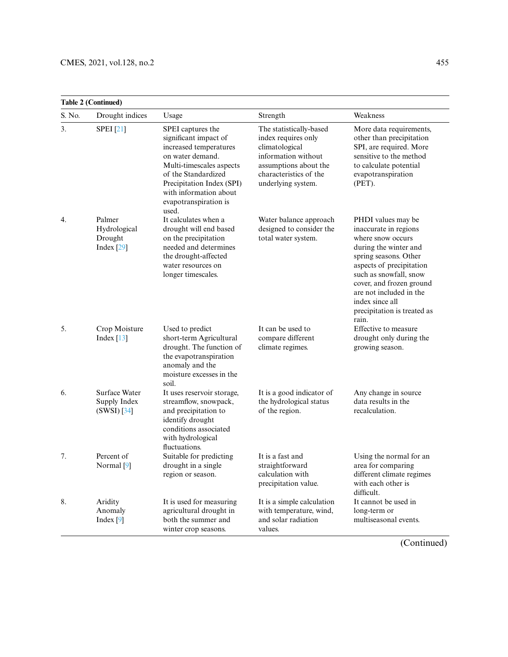|        | <b>Table 2 (Continued)</b>                            |                                                                                                                                                                                                                                      |                                                                                                                                                                  |                                                                                                                                                                                                                                                                                            |  |
|--------|-------------------------------------------------------|--------------------------------------------------------------------------------------------------------------------------------------------------------------------------------------------------------------------------------------|------------------------------------------------------------------------------------------------------------------------------------------------------------------|--------------------------------------------------------------------------------------------------------------------------------------------------------------------------------------------------------------------------------------------------------------------------------------------|--|
| S. No. | Drought indices                                       | Usage                                                                                                                                                                                                                                | Strength                                                                                                                                                         | Weakness                                                                                                                                                                                                                                                                                   |  |
| 3.     | <b>SPEI</b> [21]                                      | SPEI captures the<br>significant impact of<br>increased temperatures<br>on water demand.<br>Multi-timescales aspects<br>of the Standardized<br>Precipitation Index (SPI)<br>with information about<br>evapotranspiration is<br>used. | The statistically-based<br>index requires only<br>climatological<br>information without<br>assumptions about the<br>characteristics of the<br>underlying system. | More data requirements,<br>other than precipitation<br>SPI, are required. More<br>sensitive to the method<br>to calculate potential<br>evapotranspiration<br>$(PET)$ .                                                                                                                     |  |
| 4.     | Palmer<br>Hydrological<br>Drought<br>Index $[29]$     | It calculates when a<br>drought will end based<br>on the precipitation<br>needed and determines<br>the drought-affected<br>water resources on<br>longer timescales.                                                                  | Water balance approach<br>designed to consider the<br>total water system.                                                                                        | PHDI values may be<br>inaccurate in regions<br>where snow occurs<br>during the winter and<br>spring seasons. Other<br>aspects of precipitation<br>such as snowfall, snow<br>cover, and frozen ground<br>are not included in the<br>index since all<br>precipitation is treated as<br>rain. |  |
| 5.     | Crop Moisture<br>Index $[13]$                         | Used to predict<br>short-term Agricultural<br>drought. The function of<br>the evapotranspiration<br>anomaly and the<br>moisture excesses in the<br>soil.                                                                             | It can be used to<br>compare different<br>climate regimes.                                                                                                       | Effective to measure<br>drought only during the<br>growing season.                                                                                                                                                                                                                         |  |
| 6.     | <b>Surface Water</b><br>Supply Index<br>$(SWSI)$ [34] | It uses reservoir storage,<br>streamflow, snowpack,<br>and precipitation to<br>identify drought<br>conditions associated<br>with hydrological<br>fluctuations.                                                                       | It is a good indicator of<br>the hydrological status<br>of the region.                                                                                           | Any change in source<br>data results in the<br>recalculation.                                                                                                                                                                                                                              |  |
| 7.     | Percent of<br>Normal [9]                              | Suitable for predicting<br>drought in a single<br>region or season.                                                                                                                                                                  | It is a fast and<br>straightforward<br>calculation with<br>precipitation value.                                                                                  | Using the normal for an<br>area for comparing<br>different climate regimes<br>with each other is<br>difficult.                                                                                                                                                                             |  |
| 8.     | Aridity<br>Anomaly<br>Index $[9]$                     | It is used for measuring<br>agricultural drought in<br>both the summer and<br>winter crop seasons.                                                                                                                                   | It is a simple calculation<br>with temperature, wind,<br>and solar radiation<br>values.                                                                          | It cannot be used in<br>long-term or<br>multiseasonal events.                                                                                                                                                                                                                              |  |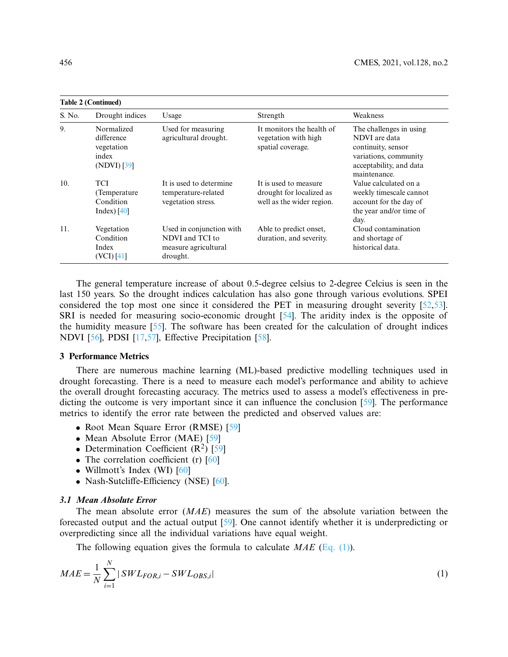|        | <b>Table 2 (Continued)</b>                                     |                                                                                 |                                                                                |                                                                                                                                    |  |  |
|--------|----------------------------------------------------------------|---------------------------------------------------------------------------------|--------------------------------------------------------------------------------|------------------------------------------------------------------------------------------------------------------------------------|--|--|
| S. No. | Drought indices                                                | Usage                                                                           | Strength                                                                       | Weakness                                                                                                                           |  |  |
| 9.     | Normalized<br>difference<br>vegetation<br>index<br>(NDVI) [39] | Used for measuring<br>agricultural drought.                                     | It monitors the health of<br>vegetation with high<br>spatial coverage.         | The challenges in using<br>NDVI are data<br>continuity, sensor<br>variations, community<br>acceptability, and data<br>maintenance. |  |  |
| 10.    | <b>TCI</b><br>(Temperature)<br>Condition<br>Index) $[40]$      | It is used to determine<br>temperature-related<br>vegetation stress.            | It is used to measure<br>drought for localized as<br>well as the wider region. | Value calculated on a<br>weekly timescale cannot<br>account for the day of<br>the year and/or time of<br>day.                      |  |  |
| 11.    | Vegetation<br>Condition<br>Index<br>(VCI) [41]                 | Used in conjunction with<br>NDVI and TCI to<br>measure agricultural<br>drought. | Able to predict onset,<br>duration, and severity.                              | Cloud contamination<br>and shortage of<br>historical data.                                                                         |  |  |

The general temperature increase of about 0.5-degree celsius to 2-degree Celcius is seen in the last 150 years. So the drought indices calculation has also gone through various evolutions. SPEI considered the top most one since it considered the PET in measuring drought severity [52,53]. SRI is needed for measuring socio-economic drought [54]. The aridity index is the opposite of the humidity measure [55]. The software has been created for the calculation of drought indices NDVI [56], PDSI [17,57], Effective Precipitation [58].

### **3 Performance Metrics**

There are numerous machine learning (ML)-based predictive modelling techniques used in drought forecasting. There is a need to measure each model's performance and ability to achieve the overall drought forecasting accuracy. The metrics used to assess a model's effectiveness in predicting the outcome is very important since it can influence the conclusion [59]. The performance metrics to identify the error rate between the predicted and observed values are:

- Root Mean Square Error (RMSE) [59]
- Mean Absolute Error (MAE) [59]
- Determination Coefficient  $(R^2)$  [59]
- The correlation coefficient (r) [60]
- Willmott's Index (WI) [60]
- Nash-Sutcliffe-Efficiency (NSE) [60].

#### **3.1 Mean Absolute Error**

The mean absolute error (*MAE*) measures the sum of the absolute variation between the forecasted output and the actual output [59]. One cannot identify whether it is underpredicting or overpredicting since all the individual variations have equal weight.

The following equation gives the formula to calculate *MAE* (Eq. (1)).

$$
MAE = \frac{1}{N} \sum_{i=1}^{N} |SWL_{FOR,i} - SWL_{OBS,i}|
$$
\n<sup>(1)</sup>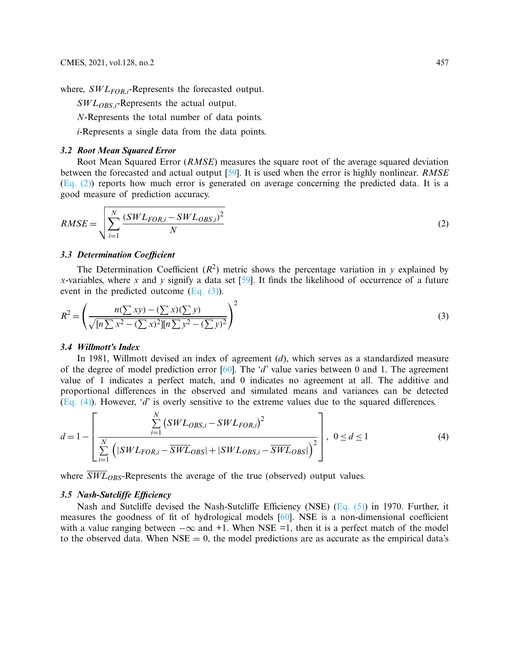where, *SWLFOR*,*<sup>i</sup>* -Represents the forecasted output.

*SWLOBS*,*i*-Represents the actual output.

*N*-Represents the total number of data points.

*i-*Represents a single data from the data points.

### **3.2 Root Mean Squared Error**

Root Mean Squared Error (*RMSE*) measures the square root of the average squared deviation between the forecasted and actual output [59]. It is used when the error is highly nonlinear. *RMSE* (Eq. (2)) reports how much error is generated on average concerning the predicted data. It is a good measure of prediction accuracy.

$$
RMSE = \sqrt{\sum_{i=1}^{N} \frac{(SWL_{FOR,i} - SWL_{OBS,i})^2}{N}}
$$
(2)

# **3.3 Determination Coefficient**

The Determination Coefficient  $(R^2)$  metric shows the percentage variation in *y* explained by *x*-variables, where *x* and *y* signify a data set [59]. It finds the likelihood of occurrence of a future event in the predicted outcome (Eq. (3)).

$$
R^{2} = \left(\frac{n(\sum xy) - (\sum x)(\sum y)}{\sqrt{[n \sum x^{2} - (\sum x)^{2}][n \sum y^{2} - (\sum y)^{2}}}\right)^{2}
$$
\n(3)

### **3.4 Willmott's Index**

In 1981, Willmott devised an index of agreement (*d*), which serves as a standardized measure of the degree of model prediction error [60]. The '*d*' value varies between 0 and 1. The agreement value of 1 indicates a perfect match, and 0 indicates no agreement at all. The additive and proportional differences in the observed and simulated means and variances can be detected (Eq. (4)). However, '*d*' is overly sensitive to the extreme values due to the squared differences.

$$
d = 1 - \left[ \frac{\sum_{i=1}^{N} \left( SWL_{OBS,i} - SWL_{FOR,i} \right)^{2}}{\sum_{i=1}^{N} \left( |SWL_{FOR,i} - \overline{SWL}_{OBS}| + |SWL_{OBS,i} - \overline{SWL}_{OBS}| \right)^{2}} \right], \quad 0 \le d \le 1
$$
\n(4)

where  $\overline{SWL}_{ORS}$ -Represents the average of the true (observed) output values.

### **3.5 Nash-Sutcliffe Efficiency**

Nash and Sutcliffe devised the Nash-Sutcliffe Efficiency (NSE) (Eq. (5)) in 1970. Further, it measures the goodness of fit of hydrological models [60]. NSE is a non-dimensional coefficient with a value ranging between  $-\infty$  and +1. When NSE =1, then it is a perfect match of the model to the observed data. When  $NSE = 0$ , the model predictions are as accurate as the empirical data's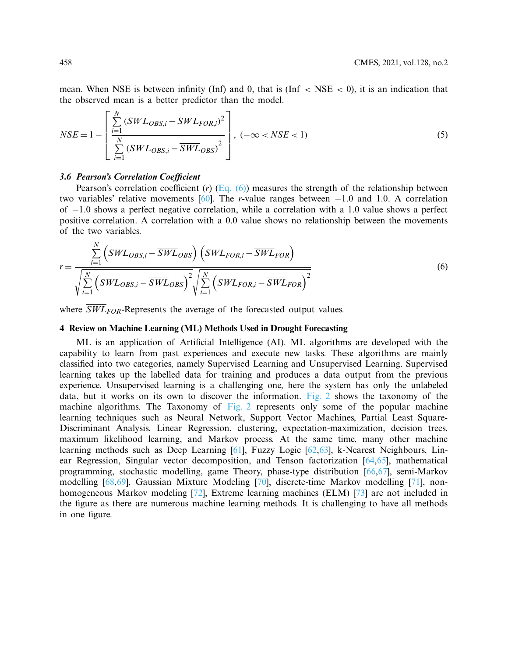mean. When NSE is between infinity (Inf) and 0, that is (Inf  $\langle$  NSE  $\langle$  0), it is an indication that the observed mean is a better predictor than the model.

$$
NSE = 1 - \left[ \frac{\sum_{i=1}^{N} (SWL_{OBS,i} - SWL_{FOR,i})^2}{\sum_{i=1}^{N} (SWL_{OBS,i} - \overline{SWL}_{OBS})^2} \right], (-\infty < NSE < 1) \tag{5}
$$

### **3.6 Pearson's Correlation Coefficient**

Pearson's correlation coefficient  $(r)$  (Eq.  $(6)$ ) measures the strength of the relationship between two variables' relative movements [60]. The *r*-value ranges between −1.0 and 1.0. A correlation of −1.0 shows a perfect negative correlation, while a correlation with a 1.0 value shows a perfect positive correlation. A correlation with a 0.0 value shows no relationship between the movements of the two variables.

$$
r = \frac{\sum_{i=1}^{N} \left( SWL_{OBS,i} - \overline{SWL}_{OBS} \right) \left( SWL_{FOR,i} - \overline{SWL}_{FOR} \right)}{\sqrt{\sum_{i=1}^{N} \left( SWL_{OBS,i} - \overline{SWL}_{OBS} \right)^2} \sqrt{\sum_{i=1}^{N} \left( SWL_{FOR,i} - \overline{SWL}_{FOR} \right)^2}}
$$
(6)

where  $\overline{SWL}_{FOR}$ -Represents the average of the forecasted output values.

# **4 Review on Machine Learning (ML) Methods Used in Drought Forecasting**

ML is an application of Artificial Intelligence (AI). ML algorithms are developed with the capability to learn from past experiences and execute new tasks. These algorithms are mainly classified into two categories, namely Supervised Learning and Unsupervised Learning. Supervised learning takes up the labelled data for training and produces a data output from the previous experience. Unsupervised learning is a challenging one, here the system has only the unlabeled data, but it works on its own to discover the information. Fig. 2 shows the taxonomy of the machine algorithms. The Taxonomy of Fig. 2 represents only some of the popular machine learning techniques such as Neural Network, Support Vector Machines, Partial Least Square-Discriminant Analysis, Linear Regression, clustering, expectation-maximization, decision trees, maximum likelihood learning, and Markov process. At the same time, many other machine learning methods such as Deep Learning [61], Fuzzy Logic [62,63], k-Nearest Neighbours, Linear Regression, Singular vector decomposition, and Tenson factorization [64,65], mathematical programming, stochastic modelling, game Theory, phase-type distribution [66,67], semi-Markov modelling [68,69], Gaussian Mixture Modeling [70], discrete-time Markov modelling [71], nonhomogeneous Markov modeling [72], Extreme learning machines (ELM) [73] are not included in the figure as there are numerous machine learning methods. It is challenging to have all methods in one figure.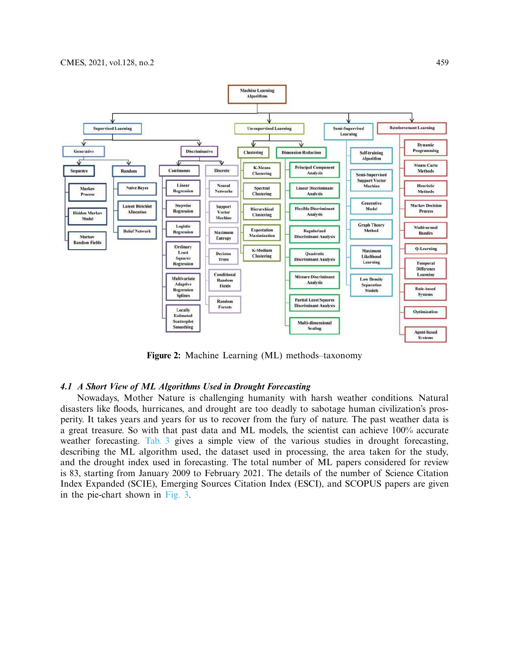

**Figure 2:** Machine Learning (ML) methods–taxonomy

#### **4.1 A Short View of ML Algorithms Used in Drought Forecasting**

Nowadays, Mother Nature is challenging humanity with harsh weather conditions. Natural disasters like floods, hurricanes, and drought are too deadly to sabotage human civilization's prosperity. It takes years and years for us to recover from the fury of nature. The past weather data is a great treasure. So with that past data and ML models, the scientist can achieve 100% accurate weather forecasting. Tab. 3 gives a simple view of the various studies in drought forecasting, describing the ML algorithm used, the dataset used in processing, the area taken for the study, and the drought index used in forecasting. The total number of ML papers considered for review is 83, starting from January 2009 to February 2021. The details of the number of Science Citation Index Expanded (SCIE), Emerging Sources Citation Index (ESCI), and SCOPUS papers are given in the pie-chart shown in Fig. 3.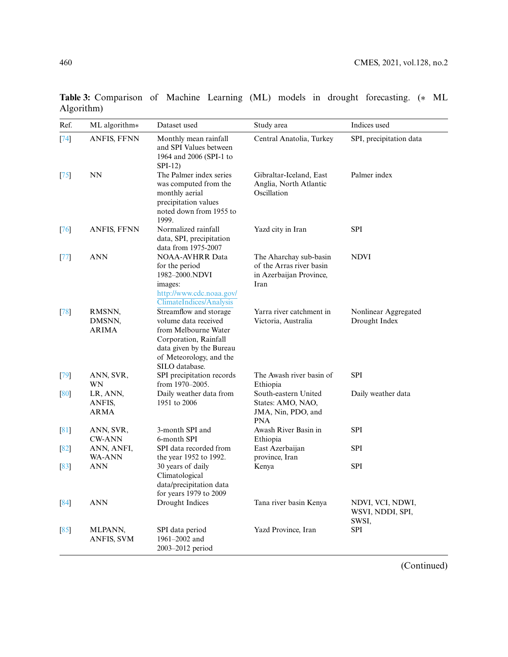| Ref.   | ML algorithm*                     | Dataset used                                                                                                                                                             | Study area                                                                            | Indices used                                  |
|--------|-----------------------------------|--------------------------------------------------------------------------------------------------------------------------------------------------------------------------|---------------------------------------------------------------------------------------|-----------------------------------------------|
| $[74]$ | ANFIS, FFNN                       | Monthly mean rainfall<br>and SPI Values between<br>1964 and 2006 (SPI-1 to<br>$SPI-12$                                                                                   | Central Anatolia, Turkey                                                              | SPI, precipitation data                       |
| $[75]$ | <b>NN</b>                         | The Palmer index series<br>was computed from the<br>monthly aerial<br>precipitation values<br>noted down from 1955 to<br>1999.                                           | Gibraltar-Iceland, East<br>Anglia, North Atlantic<br>Oscillation                      | Palmer index                                  |
| [76]   | ANFIS, FFNN                       | Normalized rainfall<br>data, SPI, precipitation<br>data from 1975-2007                                                                                                   | Yazd city in Iran                                                                     | <b>SPI</b>                                    |
| $[77]$ | <b>ANN</b>                        | <b>NOAA-AVHRR Data</b><br>for the period<br>1982-2000.NDVI<br>images:<br>http://www.cdc.noaa.gov/<br>ClimateIndices/Analysis                                             | The Aharchay sub-basin<br>of the Arras river basin<br>in Azerbaijan Province,<br>Iran | <b>NDVI</b>                                   |
| [78]   | RMSNN,<br>DMSNN,<br><b>ARIMA</b>  | Streamflow and storage<br>volume data received<br>from Melbourne Water<br>Corporation, Rainfall<br>data given by the Bureau<br>of Meteorology, and the<br>SILO database. | Yarra river catchment in<br>Victoria, Australia                                       | Nonlinear Aggregated<br>Drought Index         |
| [79]   | ANN, SVR,<br>WN                   | SPI precipitation records<br>from 1970-2005.                                                                                                                             | The Awash river basin of<br>Ethiopia                                                  | <b>SPI</b>                                    |
| [80]   | LR, ANN,<br>ANFIS,<br><b>ARMA</b> | Daily weather data from<br>1951 to 2006                                                                                                                                  | South-eastern United<br>States: AMO, NAO,<br>JMA, Nin, PDO, and<br><b>PNA</b>         | Daily weather data                            |
| [81]   | ANN, SVR,<br><b>CW-ANN</b>        | 3-month SPI and<br>6-month SPI                                                                                                                                           | Awash River Basin in<br>Ethiopia                                                      | <b>SPI</b>                                    |
| [82]   | ANN, ANFI,<br><b>WA-ANN</b>       | SPI data recorded from<br>the year 1952 to 1992.                                                                                                                         | East Azerbaijan<br>province, Iran                                                     | <b>SPI</b>                                    |
| [83]   | <b>ANN</b>                        | 30 years of daily<br>Climatological<br>data/precipitation data<br>for years 1979 to 2009                                                                                 | Kenya                                                                                 | <b>SPI</b>                                    |
| [84]   | <b>ANN</b>                        | Drought Indices                                                                                                                                                          | Tana river basin Kenya                                                                | NDVI, VCI, NDWI,<br>WSVI, NDDI, SPI,<br>SWSI, |
| [85]   | MLPANN,<br><b>ANFIS, SVM</b>      | SPI data period<br>1961-2002 and<br>2003-2012 period                                                                                                                     | Yazd Province, Iran                                                                   | <b>SPI</b>                                    |

**Table 3:** Comparison of Machine Learning (ML) models in drought forecasting. (∗ ML Algorithm)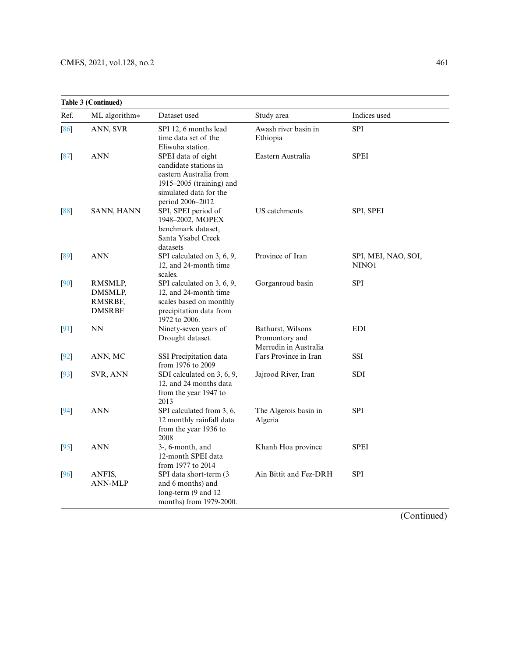|        | <b>Table 3 (Continued)</b>                     |                                                                                                                                                 |                                                              |                              |
|--------|------------------------------------------------|-------------------------------------------------------------------------------------------------------------------------------------------------|--------------------------------------------------------------|------------------------------|
| Ref.   | ML algorithm*                                  | Dataset used                                                                                                                                    | Study area                                                   | Indices used                 |
| [86]   | ANN, SVR                                       | SPI 12, 6 months lead<br>time data set of the<br>Eliwuha station.                                                                               | Awash river basin in<br>Ethiopia                             | <b>SPI</b>                   |
| [87]   | <b>ANN</b>                                     | SPEI data of eight<br>candidate stations in<br>eastern Australia from<br>1915–2005 (training) and<br>simulated data for the<br>period 2006-2012 | Eastern Australia                                            | <b>SPEI</b>                  |
| [88]   | <b>SANN, HANN</b>                              | SPI, SPEI period of<br>1948-2002, MOPEX<br>benchmark dataset,<br>Santa Ysabel Creek<br>datasets                                                 | US catchments                                                | SPI, SPEI                    |
| [89]   | <b>ANN</b>                                     | SPI calculated on 3, 6, 9,<br>12, and 24-month time<br>scales.                                                                                  | Province of Iran                                             | SPI, MEI, NAO, SOI,<br>NINO1 |
| [90]   | RMSMLP,<br>DMSMLP,<br>RMSRBF,<br><b>DMSRBF</b> | SPI calculated on 3, 6, 9,<br>12, and 24-month time<br>scales based on monthly<br>precipitation data from<br>1972 to 2006.                      | Gorganroud basin                                             | <b>SPI</b>                   |
| $[91]$ | <b>NN</b>                                      | Ninety-seven years of<br>Drought dataset.                                                                                                       | Bathurst, Wilsons<br>Promontory and<br>Merredin in Australia | <b>EDI</b>                   |
| [92]   | ANN, MC                                        | SSI Precipitation data<br>from 1976 to 2009                                                                                                     | Fars Province in Iran                                        | SSI                          |
| [93]   | SVR, ANN                                       | SDI calculated on 3, 6, 9,<br>12, and 24 months data<br>from the year 1947 to<br>2013                                                           | Jajrood River, Iran                                          | SDI                          |
| [94]   | <b>ANN</b>                                     | SPI calculated from 3, 6,<br>12 monthly rainfall data<br>from the year 1936 to<br>2008                                                          | The Algerois basin in<br>Algeria                             | <b>SPI</b>                   |
| $[95]$ | <b>ANN</b>                                     | 3-, 6-month, and<br>12-month SPEI data<br>from 1977 to 2014                                                                                     | Khanh Hoa province                                           | <b>SPEI</b>                  |
| [96]   | ANFIS,<br><b>ANN-MLP</b>                       | SPI data short-term (3<br>and 6 months) and<br>long-term (9 and 12<br>months) from 1979-2000.                                                   | Ain Bittit and Fez-DRH                                       | <b>SPI</b>                   |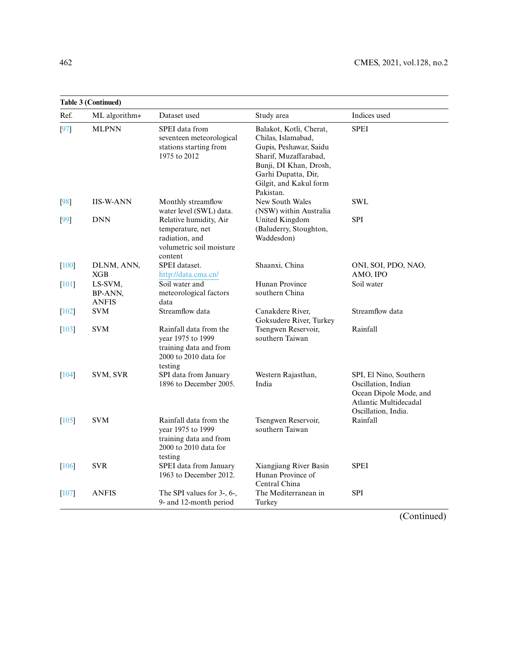|                     | <b>Table 3 (Continued)</b>         |                                                                                                           |                                                                                                                                                                                          |                                                                                                                         |  |  |
|---------------------|------------------------------------|-----------------------------------------------------------------------------------------------------------|------------------------------------------------------------------------------------------------------------------------------------------------------------------------------------------|-------------------------------------------------------------------------------------------------------------------------|--|--|
| Ref.                | ML algorithm*                      | Dataset used                                                                                              | Study area                                                                                                                                                                               | Indices used                                                                                                            |  |  |
| [97]                | <b>MLPNN</b>                       | SPEI data from<br>seventeen meteorological<br>stations starting from<br>1975 to 2012                      | Balakot, Kotli, Cherat,<br>Chilas, Islamabad,<br>Gupis, Peshawar, Saidu<br>Sharif, Muzaffarabad,<br>Bunji, DI Khan, Drosh,<br>Garhi Dupatta, Dir,<br>Gilgit, and Kakul form<br>Pakistan. | <b>SPEI</b>                                                                                                             |  |  |
| [98]                | <b>IIS-W-ANN</b>                   | Monthly streamflow<br>water level (SWL) data.                                                             | New South Wales<br>(NSW) within Australia                                                                                                                                                | <b>SWL</b>                                                                                                              |  |  |
| [99]                | <b>DNN</b>                         | Relative humidity, Air<br>temperature, net<br>radiation, and<br>volumetric soil moisture<br>content       | United Kingdom<br>(Baluderry, Stoughton,<br>Waddesdon)                                                                                                                                   | <b>SPI</b>                                                                                                              |  |  |
| [100]               | DLNM, ANN,<br>XGB                  | SPEI dataset.<br>http://data.cma.cn/                                                                      | Shaanxi, China                                                                                                                                                                           | ONI, SOI, PDO, NAO,<br>AMO, IPO                                                                                         |  |  |
| $[101]$             | LS-SVM,<br>BP-ANN,<br><b>ANFIS</b> | Soil water and<br>meteorological factors<br>data                                                          | Hunan Province<br>southern China                                                                                                                                                         | Soil water                                                                                                              |  |  |
| $[102]$             | <b>SVM</b>                         | Streamflow data                                                                                           | Canakdere River,<br>Goksudere River, Turkey                                                                                                                                              | Streamflow data                                                                                                         |  |  |
| $[103]$             | <b>SVM</b>                         | Rainfall data from the<br>year 1975 to 1999<br>training data and from<br>2000 to 2010 data for<br>testing | Tsengwen Reservoir,<br>southern Taiwan                                                                                                                                                   | Rainfall                                                                                                                |  |  |
| $\lceil 104 \rceil$ | SVM, SVR                           | SPI data from January<br>1896 to December 2005.                                                           | Western Rajasthan,<br>India                                                                                                                                                              | SPI, El Nino, Southern<br>Oscillation, Indian<br>Ocean Dipole Mode, and<br>Atlantic Multidecadal<br>Oscillation, India. |  |  |
| $[105]$             | <b>SVM</b>                         | Rainfall data from the<br>year 1975 to 1999<br>training data and from<br>2000 to 2010 data for<br>testing | Tsengwen Reservoir,<br>southern Taiwan                                                                                                                                                   | Rainfall                                                                                                                |  |  |
| [106]               | <b>SVR</b>                         | SPEI data from January<br>1963 to December 2012.                                                          | Xiangjiang River Basin<br>Hunan Province of<br>Central China                                                                                                                             | <b>SPEI</b>                                                                                                             |  |  |
| $[107]$             | <b>ANFIS</b>                       | The SPI values for 3-, 6-,<br>9- and 12-month period                                                      | The Mediterranean in<br>Turkey                                                                                                                                                           | <b>SPI</b>                                                                                                              |  |  |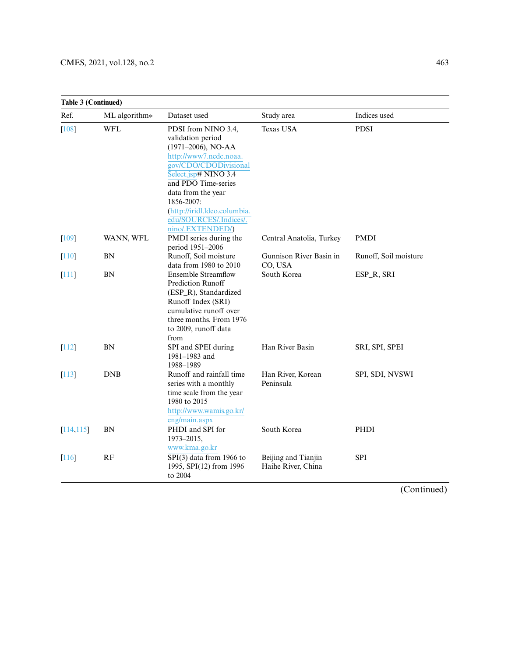| <b>Table 3 (Continued)</b> |               |                                                                                                                                                                                                                                                                                       |                                           |                       |
|----------------------------|---------------|---------------------------------------------------------------------------------------------------------------------------------------------------------------------------------------------------------------------------------------------------------------------------------------|-------------------------------------------|-----------------------|
| Ref.                       | ML algorithm* | Dataset used                                                                                                                                                                                                                                                                          | Study area                                | Indices used          |
| [108]                      | <b>WFL</b>    | PDSI from NINO 3.4,<br>validation period<br>$(1971-2006)$ , NO-AA<br>http://www7.ncdc.noaa.<br>gov/CDO/CDODivisional<br>Select.jsp# NINO 3.4<br>and PDO Time-series<br>data from the year<br>1856-2007:<br>(http://iridl.ldeo.columbia.<br>edu/SOURCES/.Indices/.<br>nino/.EXTENDED/) | <b>Texas USA</b>                          | <b>PDSI</b>           |
| [109]                      | WANN, WFL     | PMDI series during the<br>period 1951-2006                                                                                                                                                                                                                                            | Central Anatolia, Turkey                  | <b>PMDI</b>           |
| $[110]$                    | <b>BN</b>     | Runoff, Soil moisture<br>data from 1980 to 2010                                                                                                                                                                                                                                       | Gunnison River Basin in<br>CO, USA        | Runoff, Soil moisture |
| [111]                      | <b>BN</b>     | <b>Ensemble Streamflow</b><br>Prediction Runoff<br>(ESP_R), Standardized<br>Runoff Index (SRI)<br>cumulative runoff over<br>three months. From 1976<br>to 2009, runoff data<br>from                                                                                                   | South Korea                               | ESP_R, SRI            |
| $[112]$                    | BN            | SPI and SPEI during<br>1981-1983 and<br>1988-1989                                                                                                                                                                                                                                     | Han River Basin                           | SRI, SPI, SPEI        |
| $[113]$                    | <b>DNB</b>    | Runoff and rainfall time<br>series with a monthly<br>time scale from the year<br>1980 to 2015<br>http://www.wamis.go.kr/<br>eng/main.aspx                                                                                                                                             | Han River, Korean<br>Peninsula            | SPI, SDI, NVSWI       |
| [114, 115]                 | <b>BN</b>     | PHDI and SPI for<br>1973-2015,<br>www.kma.go.kr                                                                                                                                                                                                                                       | South Korea                               | PHDI                  |
| 116                        | RF            | $\overline{SPI(3)}$ data from 1966 to<br>1995, SPI(12) from 1996<br>to 2004                                                                                                                                                                                                           | Beijing and Tianjin<br>Haihe River, China | <b>SPI</b>            |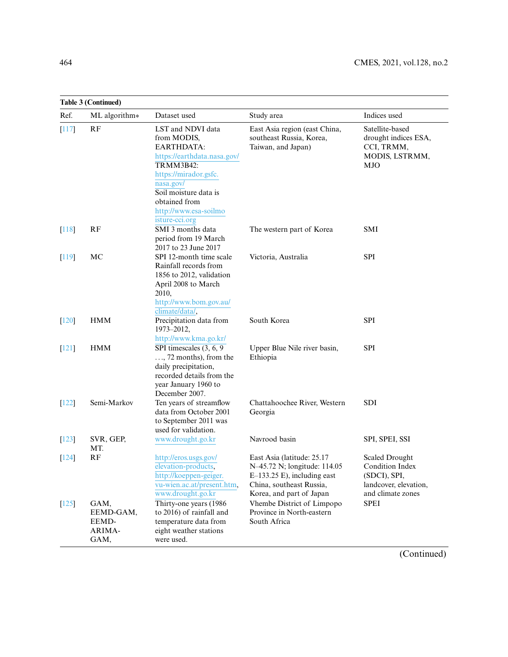|                     | <b>Table 3 (Continued)</b>                   |                                                                                                                                                                                                                              |                                                                                                                                                     |                                                                                                        |  |
|---------------------|----------------------------------------------|------------------------------------------------------------------------------------------------------------------------------------------------------------------------------------------------------------------------------|-----------------------------------------------------------------------------------------------------------------------------------------------------|--------------------------------------------------------------------------------------------------------|--|
| Ref.                | ML algorithm*                                | Dataset used                                                                                                                                                                                                                 | Study area                                                                                                                                          | Indices used                                                                                           |  |
| [117]               | RF                                           | LST and NDVI data<br>from MODIS,<br><b>EARTHDATA:</b><br>https://earthdata.nasa.gov/<br>TRMM3B42:<br>https://mirador.gsfc.<br>nasa.gov/<br>Soil moisture data is<br>obtained from<br>http://www.esa-soilmo<br>isture-cci.org | East Asia region (east China,<br>southeast Russia, Korea,<br>Taiwan, and Japan)                                                                     | Satellite-based<br>drought indices ESA,<br>CCI, TRMM,<br>MODIS, LSTRMM,<br>MJO                         |  |
| $[118]$             | RF                                           | SMI 3 months data<br>period from 19 March<br>2017 to 23 June 2017                                                                                                                                                            | The western part of Korea                                                                                                                           | <b>SMI</b>                                                                                             |  |
| $[119]$             | MC                                           | SPI 12-month time scale<br>Rainfall records from<br>1856 to 2012, validation<br>April 2008 to March<br>2010,<br>http://www.bom.gov.au/<br>climate/data/,                                                                     | Victoria, Australia                                                                                                                                 | <b>SPI</b>                                                                                             |  |
| $\lceil 120 \rceil$ | <b>HMM</b>                                   | Precipitation data from<br>1973-2012,<br>http://www.kma.go.kr/                                                                                                                                                               | South Korea                                                                                                                                         | <b>SPI</b>                                                                                             |  |
| $[121]$             | <b>HMM</b>                                   | SPI timescales (3, 6, 9)<br>$, 72$ months), from the<br>daily precipitation,<br>recorded details from the<br>year January 1960 to<br>December 2007.                                                                          | Upper Blue Nile river basin,<br>Ethiopia                                                                                                            | <b>SPI</b>                                                                                             |  |
| $[122]$             | Semi-Markov                                  | Ten years of streamflow<br>data from October 2001<br>to September 2011 was<br>used for validation.                                                                                                                           | Chattahoochee River, Western<br>Georgia                                                                                                             | <b>SDI</b>                                                                                             |  |
| [123]               | SVR, GEP,<br>MT.                             | www.drought.go.kr                                                                                                                                                                                                            | Navrood basin                                                                                                                                       | SPI, SPEI, SSI                                                                                         |  |
| $[124]$             | RF                                           | http://eros.usgs.gov/<br>elevation-products,<br>http://koeppen-geiger.<br>vu-wien.ac.at/present.htm,<br>www.drought.go.kr                                                                                                    | East Asia (latitude: 25.17<br>N-45.72 N; longitude: 114.05<br>$E-133.25$ E), including east<br>China, southeast Russia,<br>Korea, and part of Japan | <b>Scaled Drought</b><br>Condition Index<br>(SDCI), SPI,<br>landcover, elevation,<br>and climate zones |  |
| $[125]$             | GAM,<br>EEMD-GAM,<br>EEMD-<br>ARIMA-<br>GAM, | Thirty-one years (1986<br>to 2016) of rainfall and<br>temperature data from<br>eight weather stations<br>were used.                                                                                                          | Vhembe District of Limpopo<br>Province in North-eastern<br>South Africa                                                                             | <b>SPEI</b>                                                                                            |  |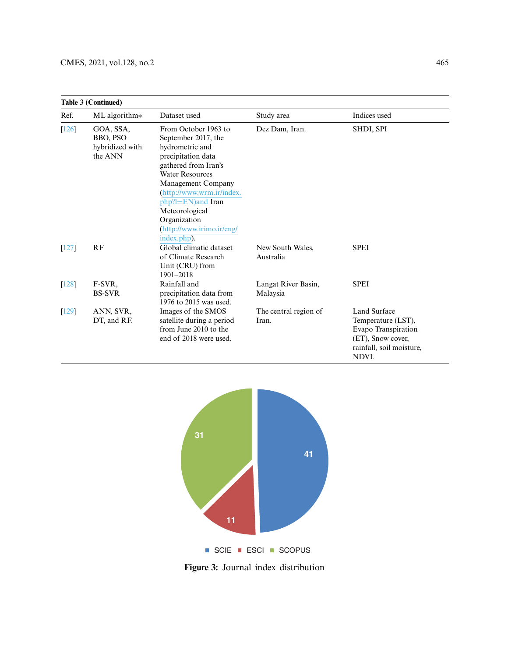| <b>Table 3 (Continued)</b> |                                                            |                                                                                                                                                                                                                                                                                              |                                 |                                                                                                                            |
|----------------------------|------------------------------------------------------------|----------------------------------------------------------------------------------------------------------------------------------------------------------------------------------------------------------------------------------------------------------------------------------------------|---------------------------------|----------------------------------------------------------------------------------------------------------------------------|
| Ref.                       | ML algorithm*                                              | Dataset used                                                                                                                                                                                                                                                                                 | Study area                      | Indices used                                                                                                               |
| $[126]$                    | GOA, SSA,<br><b>BBO, PSO</b><br>hybridized with<br>the ANN | From October 1963 to<br>September 2017, the<br>hydrometric and<br>precipitation data<br>gathered from Iran's<br><b>Water Resources</b><br>Management Company<br>(http://www.wrm.ir/index.<br>php?l=EN)and Iran<br>Meteorological<br>Organization<br>(http://www.irimo.ir/eng/<br>index.php). | Dez Dam, Iran.                  | SHDI, SPI                                                                                                                  |
| $[127]$                    | RF                                                         | Global climatic dataset<br>of Climate Research<br>Unit (CRU) from<br>$1901 - 2018$                                                                                                                                                                                                           | New South Wales,<br>Australia   | <b>SPEI</b>                                                                                                                |
| $[128]$                    | F-SVR.<br><b>BS-SVR</b>                                    | Rainfall and<br>precipitation data from<br>1976 to 2015 was used.                                                                                                                                                                                                                            | Langat River Basin,<br>Malaysia | <b>SPEI</b>                                                                                                                |
| $[129]$                    | ANN, SVR,<br>DT, and RF.                                   | Images of the SMOS<br>satellite during a period<br>from June 2010 to the<br>end of 2018 were used.                                                                                                                                                                                           | The central region of<br>Iran.  | <b>Land Surface</b><br>Temperature (LST),<br>Evapo Transpiration<br>(ET), Snow cover,<br>rainfall, soil moisture,<br>NDVI. |



**Figure 3:** Journal index distribution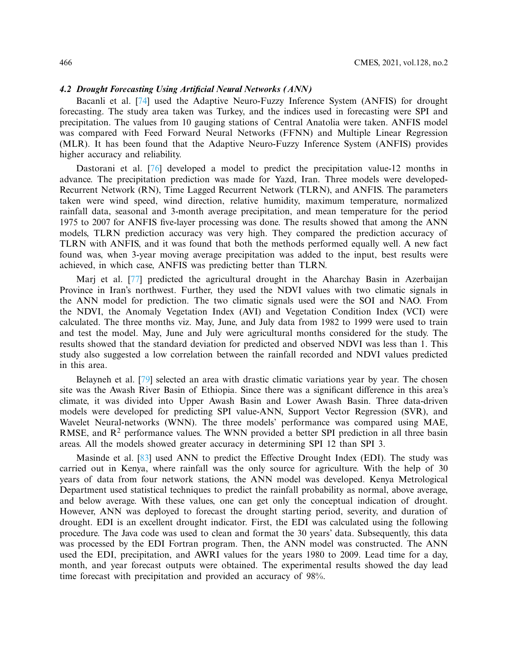# **4.2 Drought Forecasting Using Artificial Neural Networks (ANN)**

Bacanli et al. [74] used the Adaptive Neuro-Fuzzy Inference System (ANFIS) for drought forecasting. The study area taken was Turkey, and the indices used in forecasting were SPI and precipitation. The values from 10 gauging stations of Central Anatolia were taken. ANFIS model was compared with Feed Forward Neural Networks (FFNN) and Multiple Linear Regression (MLR). It has been found that the Adaptive Neuro-Fuzzy Inference System (ANFIS) provides higher accuracy and reliability.

Dastorani et al. [76] developed a model to predict the precipitation value-12 months in advance. The precipitation prediction was made for Yazd, Iran. Three models were developed-Recurrent Network (RN), Time Lagged Recurrent Network (TLRN), and ANFIS. The parameters taken were wind speed, wind direction, relative humidity, maximum temperature, normalized rainfall data, seasonal and 3-month average precipitation, and mean temperature for the period 1975 to 2007 for ANFIS five-layer processing was done. The results showed that among the ANN models, TLRN prediction accuracy was very high. They compared the prediction accuracy of TLRN with ANFIS, and it was found that both the methods performed equally well. A new fact found was, when 3-year moving average precipitation was added to the input, best results were achieved, in which case, ANFIS was predicting better than TLRN.

Marj et al. [77] predicted the agricultural drought in the Aharchay Basin in Azerbaijan Province in Iran's northwest. Further, they used the NDVI values with two climatic signals in the ANN model for prediction. The two climatic signals used were the SOI and NAO. From the NDVI, the Anomaly Vegetation Index (AVI) and Vegetation Condition Index (VCI) were calculated. The three months viz. May, June, and July data from 1982 to 1999 were used to train and test the model. May, June and July were agricultural months considered for the study. The results showed that the standard deviation for predicted and observed NDVI was less than 1. This study also suggested a low correlation between the rainfall recorded and NDVI values predicted in this area.

Belayneh et al. [79] selected an area with drastic climatic variations year by year. The chosen site was the Awash River Basin of Ethiopia. Since there was a significant difference in this area's climate, it was divided into Upper Awash Basin and Lower Awash Basin. Three data-driven models were developed for predicting SPI value-ANN, Support Vector Regression (SVR), and Wavelet Neural-networks (WNN). The three models' performance was compared using MAE, RMSE, and  $R<sup>2</sup>$  performance values. The WNN provided a better SPI prediction in all three basin areas. All the models showed greater accuracy in determining SPI 12 than SPI 3.

Masinde et al. [83] used ANN to predict the Effective Drought Index (EDI). The study was carried out in Kenya, where rainfall was the only source for agriculture. With the help of 30 years of data from four network stations, the ANN model was developed. Kenya Metrological Department used statistical techniques to predict the rainfall probability as normal, above average, and below average. With these values, one can get only the conceptual indication of drought. However, ANN was deployed to forecast the drought starting period, severity, and duration of drought. EDI is an excellent drought indicator. First, the EDI was calculated using the following procedure. The Java code was used to clean and format the 30 years' data. Subsequently, this data was processed by the EDI Fortran program. Then, the ANN model was constructed. The ANN used the EDI, precipitation, and AWRI values for the years 1980 to 2009. Lead time for a day, month, and year forecast outputs were obtained. The experimental results showed the day lead time forecast with precipitation and provided an accuracy of 98%.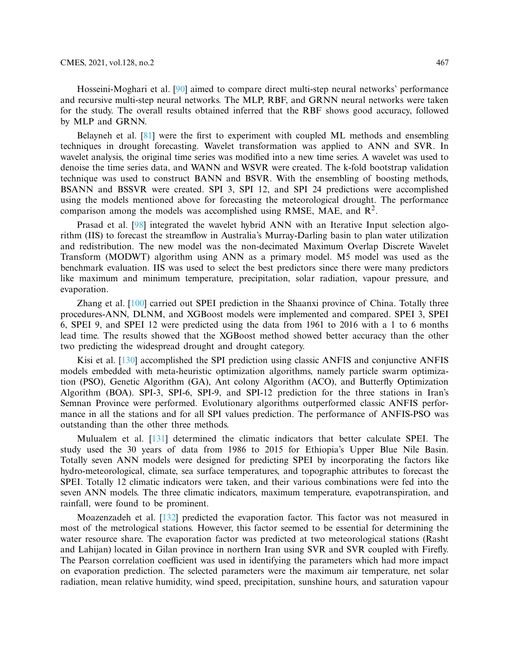Hosseini-Moghari et al. [90] aimed to compare direct multi-step neural networks' performance and recursive multi-step neural networks. The MLP, RBF, and GRNN neural networks were taken for the study. The overall results obtained inferred that the RBF shows good accuracy, followed by MLP and GRNN.

Belayneh et al. [81] were the first to experiment with coupled ML methods and ensembling techniques in drought forecasting. Wavelet transformation was applied to ANN and SVR. In wavelet analysis, the original time series was modified into a new time series. A wavelet was used to denoise the time series data, and WANN and WSVR were created. The k-fold bootstrap validation technique was used to construct BANN and BSVR. With the ensembling of boosting methods, BSANN and BSSVR were created. SPI 3, SPI 12, and SPI 24 predictions were accomplished using the models mentioned above for forecasting the meteorological drought. The performance comparison among the models was accomplished using RMSE, MAE, and  $\mathbb{R}^2$ .

Prasad et al. [98] integrated the wavelet hybrid ANN with an Iterative Input selection algorithm (IIS) to forecast the streamflow in Australia's Murray-Darling basin to plan water utilization and redistribution. The new model was the non-decimated Maximum Overlap Discrete Wavelet Transform (MODWT) algorithm using ANN as a primary model. M5 model was used as the benchmark evaluation. IIS was used to select the best predictors since there were many predictors like maximum and minimum temperature, precipitation, solar radiation, vapour pressure, and evaporation.

Zhang et al. [100] carried out SPEI prediction in the Shaanxi province of China. Totally three procedures-ANN, DLNM, and XGBoost models were implemented and compared. SPEI 3, SPEI 6, SPEI 9, and SPEI 12 were predicted using the data from 1961 to 2016 with a 1 to 6 months lead time. The results showed that the XGBoost method showed better accuracy than the other two predicting the widespread drought and drought category.

Kisi et al. [130] accomplished the SPI prediction using classic ANFIS and conjunctive ANFIS models embedded with meta-heuristic optimization algorithms, namely particle swarm optimization (PSO), Genetic Algorithm (GA), Ant colony Algorithm (ACO), and Butterfly Optimization Algorithm (BOA). SPI-3, SPI-6, SPI-9, and SPI-12 prediction for the three stations in Iran's Semnan Province were performed. Evolutionary algorithms outperformed classic ANFIS performance in all the stations and for all SPI values prediction. The performance of ANFIS-PSO was outstanding than the other three methods.

Mulualem et al. [131] determined the climatic indicators that better calculate SPEI. The study used the 30 years of data from 1986 to 2015 for Ethiopia's Upper Blue Nile Basin. Totally seven ANN models were designed for predicting SPEI by incorporating the factors like hydro-meteorological, climate, sea surface temperatures, and topographic attributes to forecast the SPEI. Totally 12 climatic indicators were taken, and their various combinations were fed into the seven ANN models. The three climatic indicators, maximum temperature, evapotranspiration, and rainfall, were found to be prominent.

Moazenzadeh et al. [132] predicted the evaporation factor. This factor was not measured in most of the metrological stations. However, this factor seemed to be essential for determining the water resource share. The evaporation factor was predicted at two meteorological stations (Rasht and Lahijan) located in Gilan province in northern Iran using SVR and SVR coupled with Firefly. The Pearson correlation coefficient was used in identifying the parameters which had more impact on evaporation prediction. The selected parameters were the maximum air temperature, net solar radiation, mean relative humidity, wind speed, precipitation, sunshine hours, and saturation vapour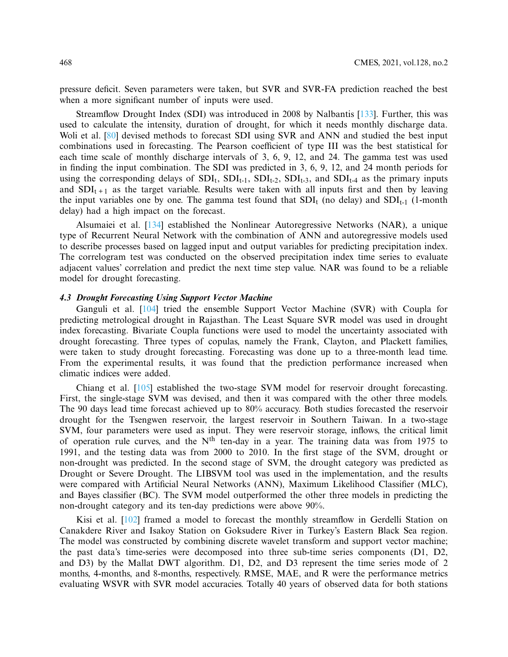pressure deficit. Seven parameters were taken, but SVR and SVR-FA prediction reached the best when a more significant number of inputs were used.

Streamflow Drought Index (SDI) was introduced in 2008 by Nalbantis [133]. Further, this was used to calculate the intensity, duration of drought, for which it needs monthly discharge data. Woli et al. [80] devised methods to forecast SDI using SVR and ANN and studied the best input combinations used in forecasting. The Pearson coefficient of type III was the best statistical for each time scale of monthly discharge intervals of 3, 6, 9, 12, and 24. The gamma test was used in finding the input combination. The SDI was predicted in 3, 6, 9, 12, and 24 month periods for using the corresponding delays of  $SDI_t$ ,  $SDI_{t-1}$ ,  $SDI_{t-2}$ ,  $SDI_{t-3}$ , and  $SDI_{t-4}$  as the primary inputs and  $SDI_{t+1}$  as the target variable. Results were taken with all inputs first and then by leaving the input variables one by one. The gamma test found that  $SDI_t$  (no delay) and  $SDI_{t-1}$  (1-month delay) had a high impact on the forecast.

Alsumaiei et al. [134] established the Nonlinear Autoregressive Networks (NAR), a unique type of Recurrent Neural Network with the combination of ANN and autoregressive models used to describe processes based on lagged input and output variables for predicting precipitation index. The correlogram test was conducted on the observed precipitation index time series to evaluate adjacent values' correlation and predict the next time step value. NAR was found to be a reliable model for drought forecasting.

### **4.3 Drought Forecasting Using Support Vector Machine**

Ganguli et al. [104] tried the ensemble Support Vector Machine (SVR) with Coupla for predicting metrological drought in Rajasthan. The Least Square SVR model was used in drought index forecasting. Bivariate Coupla functions were used to model the uncertainty associated with drought forecasting. Three types of copulas, namely the Frank, Clayton, and Plackett families, were taken to study drought forecasting. Forecasting was done up to a three-month lead time. From the experimental results, it was found that the prediction performance increased when climatic indices were added.

Chiang et al. [105] established the two-stage SVM model for reservoir drought forecasting. First, the single-stage SVM was devised, and then it was compared with the other three models. The 90 days lead time forecast achieved up to 80% accuracy. Both studies forecasted the reservoir drought for the Tsengwen reservoir, the largest reservoir in Southern Taiwan. In a two-stage SVM, four parameters were used as input. They were reservoir storage, inflows, the critical limit of operation rule curves, and the  $N<sup>th</sup>$  ten-day in a year. The training data was from 1975 to 1991, and the testing data was from 2000 to 2010. In the first stage of the SVM, drought or non-drought was predicted. In the second stage of SVM, the drought category was predicted as Drought or Severe Drought. The LIBSVM tool was used in the implementation, and the results were compared with Artificial Neural Networks (ANN), Maximum Likelihood Classifier (MLC), and Bayes classifier (BC). The SVM model outperformed the other three models in predicting the non-drought category and its ten-day predictions were above 90%.

Kisi et al. [102] framed a model to forecast the monthly streamflow in Gerdelli Station on Canakdere River and Isakoy Station on Goksudere River in Turkey's Eastern Black Sea region. The model was constructed by combining discrete wavelet transform and support vector machine; the past data's time-series were decomposed into three sub-time series components (D1, D2, and D3) by the Mallat DWT algorithm. D1, D2, and D3 represent the time series mode of 2 months, 4-months, and 8-months, respectively. RMSE, MAE, and R were the performance metrics evaluating WSVR with SVR model accuracies. Totally 40 years of observed data for both stations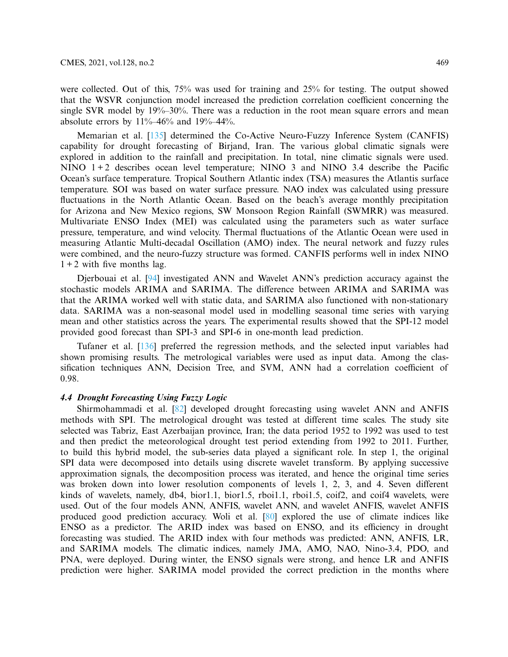were collected. Out of this, 75% was used for training and 25% for testing. The output showed that the WSVR conjunction model increased the prediction correlation coefficient concerning the single SVR model by 19%–30%. There was a reduction in the root mean square errors and mean absolute errors by  $11\% - 46\%$  and  $19\% - 44\%$ .

Memarian et al. [135] determined the Co-Active Neuro-Fuzzy Inference System (CANFIS) capability for drought forecasting of Birjand, Iran. The various global climatic signals were explored in addition to the rainfall and precipitation. In total, nine climatic signals were used. NINO  $1+2$  describes ocean level temperature; NINO 3 and NINO 3.4 describe the Pacific Ocean's surface temperature. Tropical Southern Atlantic index (TSA) measures the Atlantis surface temperature. SOI was based on water surface pressure. NAO index was calculated using pressure fluctuations in the North Atlantic Ocean. Based on the beach's average monthly precipitation for Arizona and New Mexico regions, SW Monsoon Region Rainfall (SWMRR) was measured. Multivariate ENSO Index (MEI) was calculated using the parameters such as water surface pressure, temperature, and wind velocity. Thermal fluctuations of the Atlantic Ocean were used in measuring Atlantic Multi-decadal Oscillation (AMO) index. The neural network and fuzzy rules were combined, and the neuro-fuzzy structure was formed. CANFIS performs well in index NINO  $1 + 2$  with five months lag.

Djerbouai et al. [94] investigated ANN and Wavelet ANN's prediction accuracy against the stochastic models ARIMA and SARIMA. The difference between ARIMA and SARIMA was that the ARIMA worked well with static data, and SARIMA also functioned with non-stationary data. SARIMA was a non-seasonal model used in modelling seasonal time series with varying mean and other statistics across the years. The experimental results showed that the SPI-12 model provided good forecast than SPI-3 and SPI-6 in one-month lead prediction.

Tufaner et al. [136] preferred the regression methods, and the selected input variables had shown promising results. The metrological variables were used as input data. Among the classification techniques ANN, Decision Tree, and SVM, ANN had a correlation coefficient of 0.98.

# **4.4 Drought Forecasting Using Fuzzy Logic**

Shirmohammadi et al. [82] developed drought forecasting using wavelet ANN and ANFIS methods with SPI. The metrological drought was tested at different time scales. The study site selected was Tabriz, East Azerbaijan province, Iran; the data period 1952 to 1992 was used to test and then predict the meteorological drought test period extending from 1992 to 2011. Further, to build this hybrid model, the sub-series data played a significant role. In step 1, the original SPI data were decomposed into details using discrete wavelet transform. By applying successive approximation signals, the decomposition process was iterated, and hence the original time series was broken down into lower resolution components of levels 1, 2, 3, and 4. Seven different kinds of wavelets, namely, db4, bior1.1, bior1.5, rboi1.1, rboi1.5, coif2, and coif4 wavelets, were used. Out of the four models ANN, ANFIS, wavelet ANN, and wavelet ANFIS, wavelet ANFIS produced good prediction accuracy. Woli et al. [80] explored the use of climate indices like ENSO as a predictor. The ARID index was based on ENSO, and its efficiency in drought forecasting was studied. The ARID index with four methods was predicted: ANN, ANFIS, LR, and SARIMA models. The climatic indices, namely JMA, AMO, NAO, Nino-3.4, PDO, and PNA, were deployed. During winter, the ENSO signals were strong, and hence LR and ANFIS prediction were higher. SARIMA model provided the correct prediction in the months where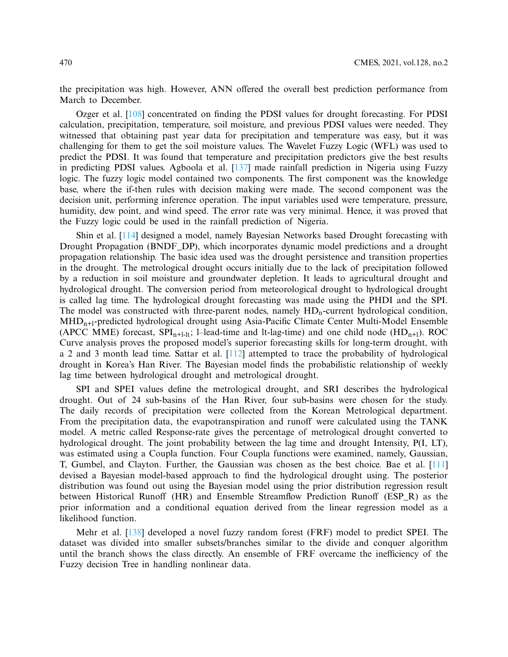the precipitation was high. However, ANN offered the overall best prediction performance from March to December.

Ozger et al. [108] concentrated on finding the PDSI values for drought forecasting. For PDSI calculation, precipitation, temperature, soil moisture, and previous PDSI values were needed. They witnessed that obtaining past year data for precipitation and temperature was easy, but it was challenging for them to get the soil moisture values. The Wavelet Fuzzy Logic (WFL) was used to predict the PDSI. It was found that temperature and precipitation predictors give the best results in predicting PDSI values. Agboola et al. [137] made rainfall prediction in Nigeria using Fuzzy logic. The fuzzy logic model contained two components. The first component was the knowledge base, where the if-then rules with decision making were made. The second component was the decision unit, performing inference operation. The input variables used were temperature, pressure, humidity, dew point, and wind speed. The error rate was very minimal. Hence, it was proved that the Fuzzy logic could be used in the rainfall prediction of Nigeria.

Shin et al. [114] designed a model, namely Bayesian Networks based Drought forecasting with Drought Propagation (BNDF\_DP), which incorporates dynamic model predictions and a drought propagation relationship. The basic idea used was the drought persistence and transition properties in the drought. The metrological drought occurs initially due to the lack of precipitation followed by a reduction in soil moisture and groundwater depletion. It leads to agricultural drought and hydrological drought. The conversion period from meteorological drought to hydrological drought is called lag time. The hydrological drought forecasting was made using the PHDI and the SPI. The model was constructed with three-parent nodes, namely  $HD<sub>n</sub>$ -current hydrological condition, MHD<sub>n+l</sub>-predicted hydrological drought using Asia-Pacific Climate Center Multi-Model Ensemble (APCC MME) forecast,  $SPI_{n+1}\to I$ -lead-time and lt-lag-time) and one child node (HD<sub>n+1</sub>). ROC Curve analysis proves the proposed model's superior forecasting skills for long-term drought, with a 2 and 3 month lead time. Sattar et al. [112] attempted to trace the probability of hydrological drought in Korea's Han River. The Bayesian model finds the probabilistic relationship of weekly lag time between hydrological drought and metrological drought.

SPI and SPEI values define the metrological drought, and SRI describes the hydrological drought. Out of 24 sub-basins of the Han River, four sub-basins were chosen for the study. The daily records of precipitation were collected from the Korean Metrological department. From the precipitation data, the evapotranspiration and runoff were calculated using the TANK model. A metric called Response-rate gives the percentage of metrological drought converted to hydrological drought. The joint probability between the lag time and drought Intensity, P(I, LT), was estimated using a Coupla function. Four Coupla functions were examined, namely, Gaussian, T, Gumbel, and Clayton. Further, the Gaussian was chosen as the best choice. Bae et al. [111] devised a Bayesian model-based approach to find the hydrological drought using. The posterior distribution was found out using the Bayesian model using the prior distribution regression result between Historical Runoff (HR) and Ensemble Streamflow Prediction Runoff (ESP\_R) as the prior information and a conditional equation derived from the linear regression model as a likelihood function.

Mehr et al. [138] developed a novel fuzzy random forest (FRF) model to predict SPEI. The dataset was divided into smaller subsets/branches similar to the divide and conquer algorithm until the branch shows the class directly. An ensemble of FRF overcame the inefficiency of the Fuzzy decision Tree in handling nonlinear data.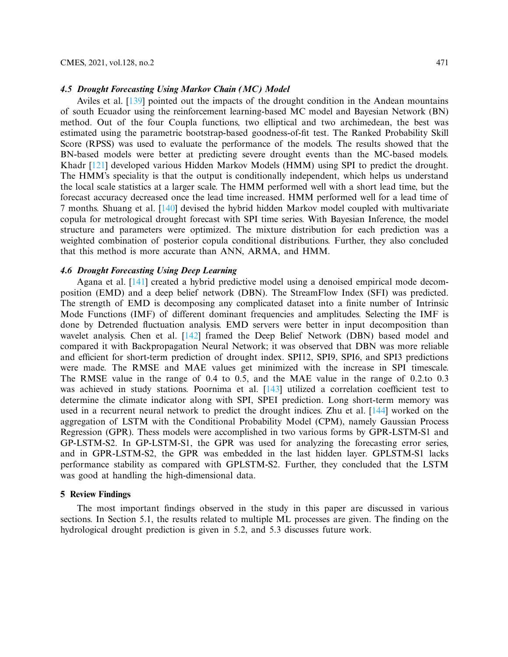Aviles et al. [139] pointed out the impacts of the drought condition in the Andean mountains of south Ecuador using the reinforcement learning-based MC model and Bayesian Network (BN) method. Out of the four Coupla functions, two elliptical and two archimedean, the best was estimated using the parametric bootstrap-based goodness-of-fit test. The Ranked Probability Skill Score (RPSS) was used to evaluate the performance of the models. The results showed that the BN-based models were better at predicting severe drought events than the MC-based models. Khadr [121] developed various Hidden Markov Models (HMM) using SPI to predict the drought. The HMM's speciality is that the output is conditionally independent, which helps us understand the local scale statistics at a larger scale. The HMM performed well with a short lead time, but the forecast accuracy decreased once the lead time increased. HMM performed well for a lead time of 7 months. Shuang et al. [140] devised the hybrid hidden Markov model coupled with multivariate copula for metrological drought forecast with SPI time series. With Bayesian Inference, the model structure and parameters were optimized. The mixture distribution for each prediction was a weighted combination of posterior copula conditional distributions. Further, they also concluded that this method is more accurate than ANN, ARMA, and HMM.

### **4.6 Drought Forecasting Using Deep Learning**

Agana et al. [141] created a hybrid predictive model using a denoised empirical mode decomposition (EMD) and a deep belief network (DBN). The StreamFlow Index (SFI) was predicted. The strength of EMD is decomposing any complicated dataset into a finite number of Intrinsic Mode Functions (IMF) of different dominant frequencies and amplitudes. Selecting the IMF is done by Detrended fluctuation analysis. EMD servers were better in input decomposition than wavelet analysis. Chen et al. [142] framed the Deep Belief Network (DBN) based model and compared it with Backpropagation Neural Network; it was observed that DBN was more reliable and efficient for short-term prediction of drought index. SPI12, SPI9, SPI6, and SPI3 predictions were made. The RMSE and MAE values get minimized with the increase in SPI timescale. The RMSE value in the range of 0.4 to 0.5, and the MAE value in the range of 0.2.to 0.3 was achieved in study stations. Poornima et al. [143] utilized a correlation coefficient test to determine the climate indicator along with SPI, SPEI prediction. Long short-term memory was used in a recurrent neural network to predict the drought indices. Zhu et al. [144] worked on the aggregation of LSTM with the Conditional Probability Model (CPM), namely Gaussian Process Regression (GPR). Thess models were accomplished in two various forms by GPR-LSTM-S1 and GP-LSTM-S2. In GP-LSTM-S1, the GPR was used for analyzing the forecasting error series, and in GPR-LSTM-S2, the GPR was embedded in the last hidden layer. GPLSTM-S1 lacks performance stability as compared with GPLSTM-S2. Further, they concluded that the LSTM was good at handling the high-dimensional data.

### **5 Review Findings**

The most important findings observed in the study in this paper are discussed in various sections. In Section 5.1, the results related to multiple ML processes are given. The finding on the hydrological drought prediction is given in 5.2, and 5.3 discusses future work.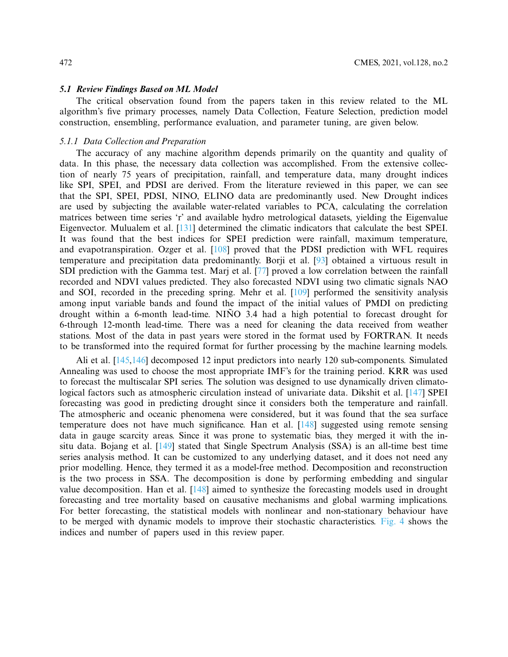#### **5.1 Review Findings Based on ML Model**

The critical observation found from the papers taken in this review related to the ML algorithm's five primary processes, namely Data Collection, Feature Selection, prediction model construction, ensembling, performance evaluation, and parameter tuning, are given below.

# *5.1.1 Data Collection and Preparation*

The accuracy of any machine algorithm depends primarily on the quantity and quality of data. In this phase, the necessary data collection was accomplished. From the extensive collection of nearly 75 years of precipitation, rainfall, and temperature data, many drought indices like SPI, SPEI, and PDSI are derived. From the literature reviewed in this paper, we can see that the SPI, SPEI, PDSI, NINO, ELINO data are predominantly used. New Drought indices are used by subjecting the available water-related variables to PCA, calculating the correlation matrices between time series 'r' and available hydro metrological datasets, yielding the Eigenvalue Eigenvector. Mulualem et al. [131] determined the climatic indicators that calculate the best SPEI. It was found that the best indices for SPEI prediction were rainfall, maximum temperature, and evapotranspiration. Ozger et al. [108] proved that the PDSI prediction with WFL requires temperature and precipitation data predominantly. Borji et al. [93] obtained a virtuous result in SDI prediction with the Gamma test. Marj et al. [77] proved a low correlation between the rainfall recorded and NDVI values predicted. They also forecasted NDVI using two climatic signals NAO and SOI, recorded in the preceding spring. Mehr et al. [109] performed the sensitivity analysis among input variable bands and found the impact of the initial values of PMDI on predicting drought within a 6-month lead-time. NIÑO 3.4 had a high potential to forecast drought for 6-through 12-month lead-time. There was a need for cleaning the data received from weather stations. Most of the data in past years were stored in the format used by FORTRAN. It needs to be transformed into the required format for further processing by the machine learning models.

Ali et al. [145,146] decomposed 12 input predictors into nearly 120 sub-components. Simulated Annealing was used to choose the most appropriate IMF's for the training period. KRR was used to forecast the multiscalar SPI series. The solution was designed to use dynamically driven climatological factors such as atmospheric circulation instead of univariate data. Dikshit et al. [147] SPEI forecasting was good in predicting drought since it considers both the temperature and rainfall. The atmospheric and oceanic phenomena were considered, but it was found that the sea surface temperature does not have much significance. Han et al. [148] suggested using remote sensing data in gauge scarcity areas. Since it was prone to systematic bias, they merged it with the insitu data. Bojang et al. [149] stated that Single Spectrum Analysis (SSA) is an all-time best time series analysis method. It can be customized to any underlying dataset, and it does not need any prior modelling. Hence, they termed it as a model-free method. Decomposition and reconstruction is the two process in SSA. The decomposition is done by performing embedding and singular value decomposition. Han et al. [148] aimed to synthesize the forecasting models used in drought forecasting and tree mortality based on causative mechanisms and global warming implications. For better forecasting, the statistical models with nonlinear and non-stationary behaviour have to be merged with dynamic models to improve their stochastic characteristics. Fig. 4 shows the indices and number of papers used in this review paper.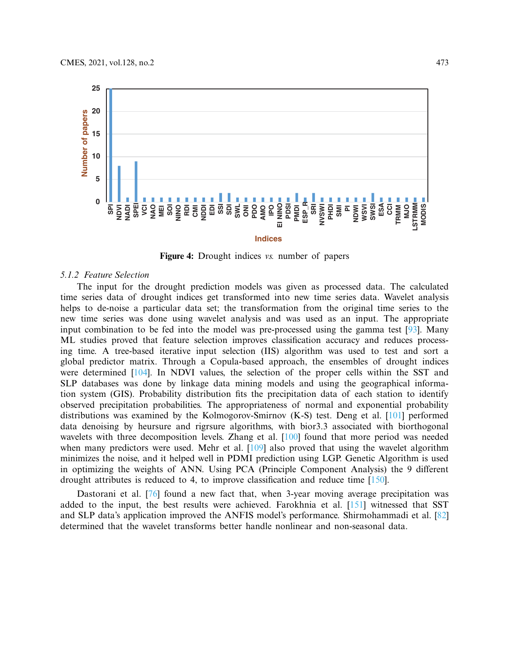

**Figure 4:** Drought indices *vs.* number of papers

### *5.1.2 Feature Selection*

The input for the drought prediction models was given as processed data. The calculated time series data of drought indices get transformed into new time series data. Wavelet analysis helps to de-noise a particular data set; the transformation from the original time series to the new time series was done using wavelet analysis and was used as an input. The appropriate input combination to be fed into the model was pre-processed using the gamma test [93]. Many ML studies proved that feature selection improves classification accuracy and reduces processing time. A tree-based iterative input selection (IIS) algorithm was used to test and sort a global predictor matrix. Through a Copula-based approach, the ensembles of drought indices were determined [104]. In NDVI values, the selection of the proper cells within the SST and SLP databases was done by linkage data mining models and using the geographical information system (GIS). Probability distribution fits the precipitation data of each station to identify observed precipitation probabilities. The appropriateness of normal and exponential probability distributions was examined by the Kolmogorov-Smirnov (K-S) test. Deng et al. [101] performed data denoising by heursure and rigrsure algorithms, with bior3.3 associated with biorthogonal wavelets with three decomposition levels. Zhang et al. [100] found that more period was needed when many predictors were used. Mehr et al. [109] also proved that using the wavelet algorithm minimizes the noise, and it helped well in PDMI prediction using LGP. Genetic Algorithm is used in optimizing the weights of ANN. Using PCA (Principle Component Analysis) the 9 different drought attributes is reduced to 4, to improve classification and reduce time [150].

Dastorani et al. [76] found a new fact that, when 3-year moving average precipitation was added to the input, the best results were achieved. Farokhnia et al. [151] witnessed that SST and SLP data's application improved the ANFIS model's performance. Shirmohammadi et al. [82] determined that the wavelet transforms better handle nonlinear and non-seasonal data.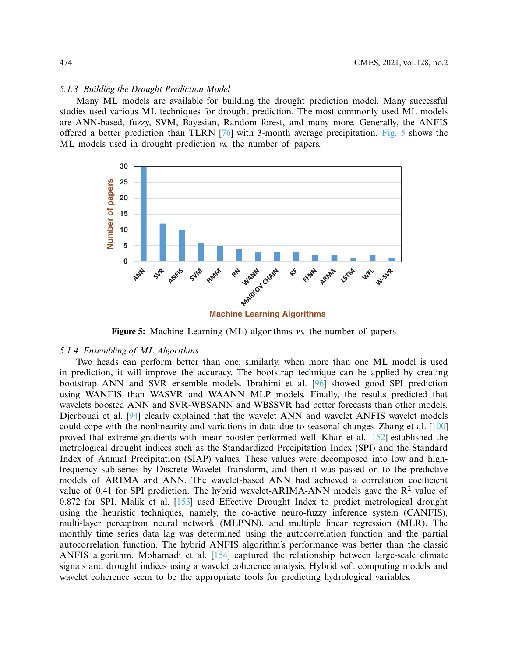### *5.1.3 Building the Drought Prediction Model*

Many ML models are available for building the drought prediction model. Many successful studies used various ML techniques for drought prediction. The most commonly used ML models are ANN-based, fuzzy, SVM, Bayesian, Random forest, and many more. Generally, the ANFIS offered a better prediction than TLRN [76] with 3-month average precipitation. Fig. 5 shows the ML models used in drought prediction *vs.* the number of papers.



**Figure 5:** Machine Learning (ML) algorithms *vs.* the number of papers

### *5.1.4 Ensembling of ML Algorithms*

Two heads can perform better than one; similarly, when more than one ML model is used in prediction, it will improve the accuracy. The bootstrap technique can be applied by creating bootstrap ANN and SVR ensemble models. Ibrahimi et al. [96] showed good SPI prediction using WANFIS than WASVR and WAANN MLP models. Finally, the results predicted that wavelets boosted ANN and SVR-WBSANN and WBSSVR had better forecasts than other models. Djerbouai et al. [94] clearly explained that the wavelet ANN and wavelet ANFIS wavelet models could cope with the nonlinearity and variations in data due to seasonal changes. Zhang et al. [100] proved that extreme gradients with linear booster performed well. Khan et al. [152] established the metrological drought indices such as the Standardized Precipitation Index (SPI) and the Standard Index of Annual Precipitation (SIAP) values. These values were decomposed into low and highfrequency sub-series by Discrete Wavelet Transform, and then it was passed on to the predictive models of ARIMA and ANN. The wavelet-based ANN had achieved a correlation coefficient value of 0.41 for SPI prediction. The hybrid wavelet-ARIMA-ANN models gave the  $\mathbb{R}^2$  value of 0.872 for SPI. Malik et al. [153] used Effective Drought Index to predict metrological drought using the heuristic techniques, namely, the co-active neuro-fuzzy inference system (CANFIS), multi-layer perceptron neural network (MLPNN), and multiple linear regression (MLR). The monthly time series data lag was determined using the autocorrelation function and the partial autocorrelation function. The hybrid ANFIS algorithm's performance was better than the classic ANFIS algorithm. Mohamadi et al. [154] captured the relationship between large-scale climate signals and drought indices using a wavelet coherence analysis. Hybrid soft computing models and wavelet coherence seem to be the appropriate tools for predicting hydrological variables.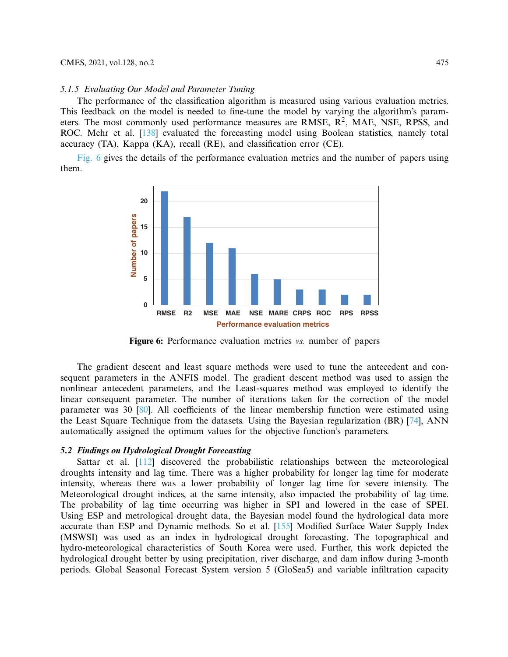### *5.1.5 Evaluating Our Model and Parameter Tuning*

The performance of the classification algorithm is measured using various evaluation metrics. This feedback on the model is needed to fine-tune the model by varying the algorithm's parameters. The most commonly used performance measures are RMSE,  $\mathbb{R}^2$ , MAE, NSE, RPSS, and ROC. Mehr et al. [138] evaluated the forecasting model using Boolean statistics, namely total accuracy (TA), Kappa (KA), recall (RE), and classification error (CE).

Fig. 6 gives the details of the performance evaluation metrics and the number of papers using them.



**Figure 6:** Performance evaluation metrics *vs.* number of papers

The gradient descent and least square methods were used to tune the antecedent and consequent parameters in the ANFIS model. The gradient descent method was used to assign the nonlinear antecedent parameters, and the Least-squares method was employed to identify the linear consequent parameter. The number of iterations taken for the correction of the model parameter was 30 [80]. All coefficients of the linear membership function were estimated using the Least Square Technique from the datasets. Using the Bayesian regularization (BR) [74], ANN automatically assigned the optimum values for the objective function's parameters.

### **5.2 Findings on Hydrological Drought Forecasting**

Sattar et al. [112] discovered the probabilistic relationships between the meteorological droughts intensity and lag time. There was a higher probability for longer lag time for moderate intensity, whereas there was a lower probability of longer lag time for severe intensity. The Meteorological drought indices, at the same intensity, also impacted the probability of lag time. The probability of lag time occurring was higher in SPI and lowered in the case of SPEI. Using ESP and metrological drought data, the Bayesian model found the hydrological data more accurate than ESP and Dynamic methods. So et al. [155] Modified Surface Water Supply Index (MSWSI) was used as an index in hydrological drought forecasting. The topographical and hydro-meteorological characteristics of South Korea were used. Further, this work depicted the hydrological drought better by using precipitation, river discharge, and dam inflow during 3-month periods. Global Seasonal Forecast System version 5 (GloSea5) and variable infiltration capacity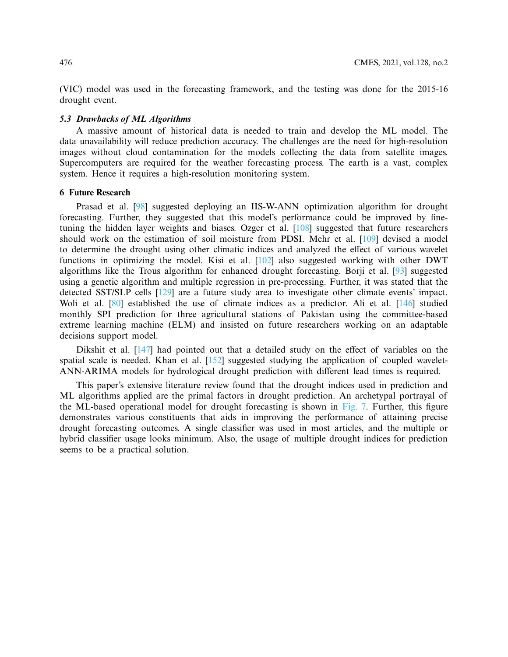(VIC) model was used in the forecasting framework, and the testing was done for the 2015-16 drought event.

### **5.3 Drawbacks of ML Algorithms**

A massive amount of historical data is needed to train and develop the ML model. The data unavailability will reduce prediction accuracy. The challenges are the need for high-resolution images without cloud contamination for the models collecting the data from satellite images. Supercomputers are required for the weather forecasting process. The earth is a vast, complex system. Hence it requires a high-resolution monitoring system.

### **6 Future Research**

Prasad et al. [98] suggested deploying an IIS-W-ANN optimization algorithm for drought forecasting. Further, they suggested that this model's performance could be improved by finetuning the hidden layer weights and biases. Ozger et al. [108] suggested that future researchers should work on the estimation of soil moisture from PDSI. Mehr et al. [109] devised a model to determine the drought using other climatic indices and analyzed the effect of various wavelet functions in optimizing the model. Kisi et al. [102] also suggested working with other DWT algorithms like the Trous algorithm for enhanced drought forecasting. Borji et al. [93] suggested using a genetic algorithm and multiple regression in pre-processing. Further, it was stated that the detected SST/SLP cells [129] are a future study area to investigate other climate events' impact. Woli et al. [80] established the use of climate indices as a predictor. Ali et al. [146] studied monthly SPI prediction for three agricultural stations of Pakistan using the committee-based extreme learning machine (ELM) and insisted on future researchers working on an adaptable decisions support model.

Dikshit et al. [147] had pointed out that a detailed study on the effect of variables on the spatial scale is needed. Khan et al. [152] suggested studying the application of coupled wavelet-ANN-ARIMA models for hydrological drought prediction with different lead times is required.

This paper's extensive literature review found that the drought indices used in prediction and ML algorithms applied are the primal factors in drought prediction. An archetypal portrayal of the ML-based operational model for drought forecasting is shown in Fig. 7. Further, this figure demonstrates various constituents that aids in improving the performance of attaining precise drought forecasting outcomes. A single classifier was used in most articles, and the multiple or hybrid classifier usage looks minimum. Also, the usage of multiple drought indices for prediction seems to be a practical solution.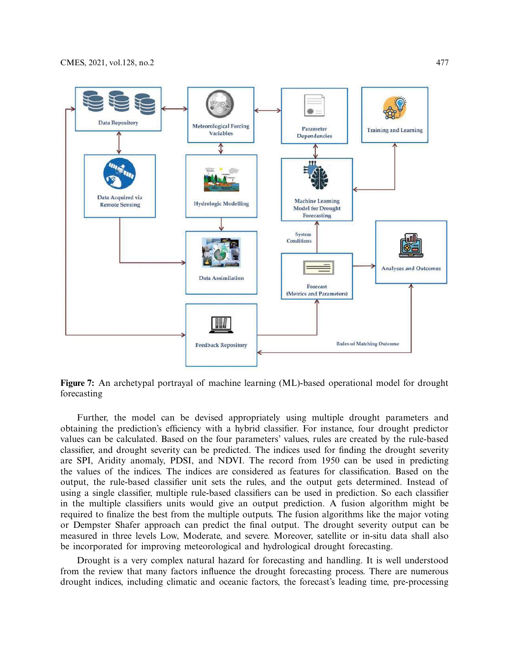

**Figure 7:** An archetypal portrayal of machine learning (ML)-based operational model for drought forecasting

Further, the model can be devised appropriately using multiple drought parameters and obtaining the prediction's efficiency with a hybrid classifier. For instance, four drought predictor values can be calculated. Based on the four parameters' values, rules are created by the rule-based classifier, and drought severity can be predicted. The indices used for finding the drought severity are SPI, Aridity anomaly, PDSI, and NDVI. The record from 1950 can be used in predicting the values of the indices. The indices are considered as features for classification. Based on the output, the rule-based classifier unit sets the rules, and the output gets determined. Instead of using a single classifier, multiple rule-based classifiers can be used in prediction. So each classifier in the multiple classifiers units would give an output prediction. A fusion algorithm might be required to finalize the best from the multiple outputs. The fusion algorithms like the major voting or Dempster Shafer approach can predict the final output. The drought severity output can be measured in three levels Low, Moderate, and severe. Moreover, satellite or in-situ data shall also be incorporated for improving meteorological and hydrological drought forecasting.

Drought is a very complex natural hazard for forecasting and handling. It is well understood from the review that many factors influence the drought forecasting process. There are numerous drought indices, including climatic and oceanic factors, the forecast's leading time, pre-processing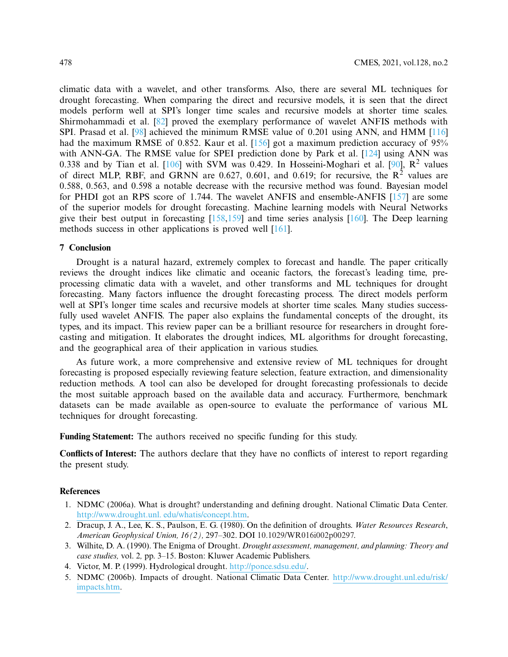climatic data with a wavelet, and other transforms. Also, there are several ML techniques for drought forecasting. When comparing the direct and recursive models, it is seen that the direct models perform well at SPI's longer time scales and recursive models at shorter time scales. Shirmohammadi et al. [82] proved the exemplary performance of wavelet ANFIS methods with SPI. Prasad et al. [98] achieved the minimum RMSE value of 0.201 using ANN, and HMM [116] had the maximum RMSE of 0.852. Kaur et al. [156] got a maximum prediction accuracy of 95% with ANN-GA. The RMSE value for SPEI prediction done by Park et al. [124] using ANN was 0.338 and by Tian et al.  $[106]$  with SVM was 0.429. In Hosseini-Moghari et al.  $[90]$ ,  $\mathbb{R}^2$  values of direct MLP, RBF, and GRNN are 0.627, 0.601, and 0.619; for recursive, the  $R^2$  values are 0.588, 0.563, and 0.598 a notable decrease with the recursive method was found. Bayesian model for PHDI got an RPS score of 1.744. The wavelet ANFIS and ensemble-ANFIS [157] are some of the superior models for drought forecasting. Machine learning models with Neural Networks give their best output in forecasting  $[158,159]$  and time series analysis  $[160]$ . The Deep learning methods success in other applications is proved well [161].

### **7 Conclusion**

Drought is a natural hazard, extremely complex to forecast and handle. The paper critically reviews the drought indices like climatic and oceanic factors, the forecast's leading time, preprocessing climatic data with a wavelet, and other transforms and ML techniques for drought forecasting. Many factors influence the drought forecasting process. The direct models perform well at SPI's longer time scales and recursive models at shorter time scales. Many studies successfully used wavelet ANFIS. The paper also explains the fundamental concepts of the drought, its types, and its impact. This review paper can be a brilliant resource for researchers in drought forecasting and mitigation. It elaborates the drought indices, ML algorithms for drought forecasting, and the geographical area of their application in various studies.

As future work, a more comprehensive and extensive review of ML techniques for drought forecasting is proposed especially reviewing feature selection, feature extraction, and dimensionality reduction methods. A tool can also be developed for drought forecasting professionals to decide the most suitable approach based on the available data and accuracy. Furthermore, benchmark datasets can be made available as open-source to evaluate the performance of various ML techniques for drought forecasting.

**Funding Statement:** The authors received no specific funding for this study.

**Conflicts of Interest:** The authors declare that they have no conflicts of interest to report regarding the present study.

### **References**

- 1. NDMC (2006a). What is drought? understanding and defining drought. National Climatic Data Center. http://www.drought.unl. edu/whatis/concept.htm.
- 2. Dracup, J. A., Lee, K. S., Paulson, E. G. (1980). On the definition of droughts. *Water Resources Research*, *American Geophysical Union, 16(2),* 297–302. DOI 10.1029/WR016i002p00297.
- 3. Wilhite, D. A. (1990). The Enigma of Drought. *Drought assessment, management, and planning: Theory and case studies,* vol. 2*,* pp. 3–15. Boston: Kluwer Academic Publishers.
- 4. Victor, M. P. (1999). Hydrological drought. http://ponce.sdsu.edu/.
- 5. NDMC (2006b). Impacts of drought. National Climatic Data Center. http://www.drought.unl.edu/risk/ impacts.htm.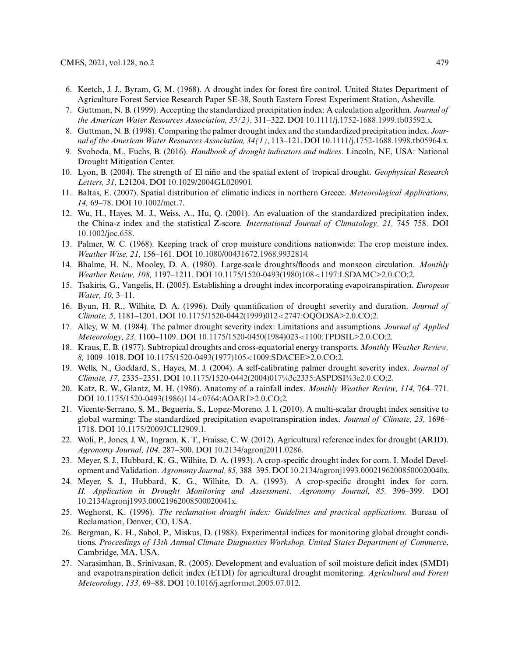- 6. Keetch, J. J., Byram, G. M. (1968). A drought index for forest fire control. United States Department of Agriculture Forest Service Research Paper SE-38, South Eastern Forest Experiment Station, Asheville.
- 7. Guttman, N. B. (1999). Accepting the standardized precipitation index: A calculation algorithm. *Journal of the American Water Resources Association, 35(2),* 311–322. DOI 10.1111/j.1752-1688.1999.tb03592.x.
- 8. Guttman, N. B. (1998). Comparing the palmer drought index and the standardized precipitation index. *Journal of the American Water Resources Association, 34(1),* 113–121. DOI 10.1111/j.1752-1688.1998.tb05964.x.
- 9. Svoboda, M., Fuchs, B. (2016). *Handbook of drought indicators and indices*. Lincoln, NE, USA: National Drought Mitigation Center.
- 10. Lyon, B. (2004). The strength of El niño and the spatial extent of tropical drought. *Geophysical Research Letters, 31,* L21204. DOI 10.1029/2004GL020901.
- 11. Baltas, E. (2007). Spatial distribution of climatic indices in northern Greece. *Meteorological Applications, 14,* 69–78. DOI 10.1002/met.7.
- 12. Wu, H., Hayes, M. J., Weiss, A., Hu, Q. (2001). An evaluation of the standardized precipitation index, the China-z index and the statistical Z-score. *International Journal of Climatology, 21,* 745–758. DOI 10.1002/joc.658.
- 13. Palmer, W. C. (1968). Keeping track of crop moisture conditions nationwide: The crop moisture index. *Weather Wise, 21,* 156–161. DOI 10.1080/00431672.1968.9932814.
- 14. Bhalme, H. N., Mooley, D. A. (1980). Large-scale droughts/floods and monsoon circulation. *Monthly Weather Review, 108,* 1197–1211. DOI 10.1175/1520-0493(1980)108<1197:LSDAMC>2.0.CO;2.
- 15. Tsakiris, G., Vangelis, H. (2005). Establishing a drought index incorporating evapotranspiration. *European Water, 10,* 3–11.
- 16. Byun, H. R., Wilhite, D. A. (1996). Daily quantification of drought severity and duration. *Journal of Climate, 5,* 1181–1201. DOI 10.1175/1520-0442(1999)012<2747:OQODSA>2.0.CO;2.
- 17. Alley, W. M. (1984). The palmer drought severity index: Limitations and assumptions. *Journal of Applied Meteorology, 23,* 1100–1109. DOI 10.1175/1520-0450(1984)023<1100:TPDSIL>2.0.CO;2.
- 18. Kraus, E. B. (1977). Subtropical droughts and cross-equatorial energy transports. *Monthly Weather Review, 8,* 1009–1018. DOI 10.1175/1520-0493(1977)105<1009:SDACEE>2.0.CO;2.
- 19. Wells, N., Goddard, S., Hayes, M. J. (2004). A self-calibrating palmer drought severity index. *Journal of Climate, 17,* 2335–2351. DOI 10.1175/1520-0442(2004)017%3c2335:ASPDSI%3e2.0.CO;2.
- 20. Katz, R. W., Glantz, M. H. (1986). Anatomy of a rainfall index. *Monthly Weather Review, 114,* 764–771. DOI 10.1175/1520-0493(1986)114<0764:AOARI>2.0.CO;2.
- 21. Vicente-Serrano, S. M., Begueria, S., Lopez-Moreno, J. I. (2010). A multi-scalar drought index sensitive to global warming: The standardized precipitation evapotranspiration index. *Journal of Climate, 23,* 1696– 1718. DOI 10.1175/2009JCLI2909.1.
- 22. Woli, P., Jones, J. W., Ingram, K. T., Fraisse, C. W. (2012). Agricultural reference index for drought (ARID). *Agronomy Journal, 104,* 287–300. DOI 10.2134/agronj2011.0286.
- 23. Meyer, S. J., Hubbard, K. G., Wilhite, D. A. (1993). A crop-specific drought index for corn. I. Model Development and Validation. *Agronomy Journal, 85,* 388–395. DOI 10.2134/agronj1993.00021962008500020040x.
- 24. Meyer, S. J., Hubbard, K. G., Wilhite, D. A. (1993). A crop-specific drought index for corn. *II. Application in Drought Monitoring and Assessment*. *Agronomy Journal, 85,* 396–399. DOI 10.2134/agronj1993.00021962008500020041x.
- 25. Weghorst, K. (1996). *The reclamation drought index: Guidelines and practical applications*. Bureau of Reclamation, Denver, CO, USA.
- 26. Bergman, K. H., Sabol, P., Miskus, D. (1988). Experimental indices for monitoring global drought conditions. *Proceedings of 13th Annual Climate Diagnostics Workshop, United States Department of Commerce*, Cambridge, MA, USA.
- 27. Narasimhan, B., Srinivasan, R. (2005). Development and evaluation of soil moisture deficit index (SMDI) and evapotranspiration deficit index (ETDI) for agricultural drought monitoring. *Agricultural and Forest Meteorology, 133,* 69–88. DOI 10.1016/j.agrformet.2005.07.012.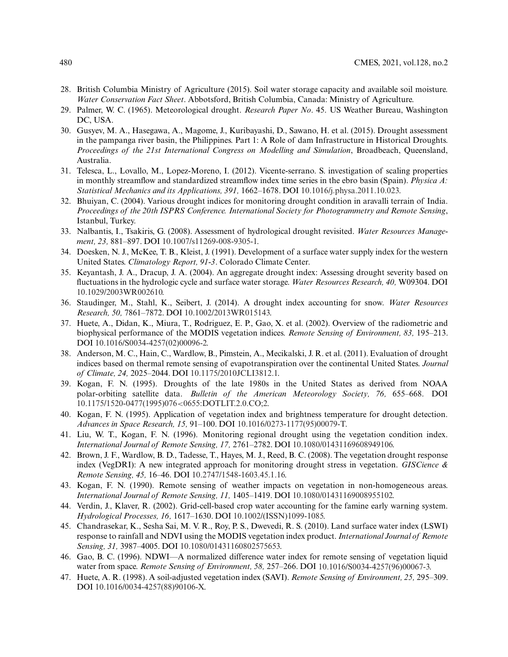- 28. British Columbia Ministry of Agriculture (2015). Soil water storage capacity and available soil moisture. *Water Conservation Fact Sheet*. Abbotsford, British Columbia, Canada: Ministry of Agriculture.
- 29. Palmer, W. C. (1965). Meteorological drought. *Research Paper No*. 45. US Weather Bureau, Washington DC, USA.
- 30. Gusyev, M. A., Hasegawa, A., Magome, J., Kuribayashi, D., Sawano, H. et al. (2015). Drought assessment in the pampanga river basin, the Philippines. Part 1: A Role of dam Infrastructure in Historical Droughts. *Proceedings of the 21st International Congress on Modelling and Simulation*, Broadbeach, Queensland, Australia.
- 31. Telesca, L., Lovallo, M., Lopez-Moreno, I. (2012). Vicente-serrano. S. investigation of scaling properties in monthly streamflow and standardized streamflow index time series in the ebro basin (Spain). *Physica A: Statistical Mechanics and its Applications, 391,* 1662–1678. DOI 10.1016/j.physa.2011.10.023.
- 32. Bhuiyan, C. (2004). Various drought indices for monitoring drought condition in aravalli terrain of India. *Proceedings of the 20th ISPRS Conference. International Society for Photogrammetry and Remote Sensing*, Istanbul, Turkey.
- 33. Nalbantis, I., Tsakiris, G. (2008). Assessment of hydrological drought revisited. *Water Resources Management, 23,* 881–897. DOI 10.1007/s11269-008-9305-1.
- 34. Doesken, N. J., McKee, T. B., Kleist, J. (1991). Development of a surface water supply index for the western United States. *Climatology Report, 91-3*. Colorado Climate Center.
- 35. Keyantash, J. A., Dracup, J. A. (2004). An aggregate drought index: Assessing drought severity based on fluctuations in the hydrologic cycle and surface water storage. *Water Resources Research, 40,* W09304. DOI 10.1029/2003WR002610.
- 36. Staudinger, M., Stahl, K., Seibert, J. (2014). A drought index accounting for snow. *Water Resources Research, 50,* 7861–7872. DOI 10.1002/2013WR015143.
- 37. Huete, A., Didan, K., Miura, T., Rodriguez, E. P., Gao, X. et al. (2002). Overview of the radiometric and biophysical performance of the MODIS vegetation indices. *Remote Sensing of Environment, 83,* 195–213. DOI 10.1016/S0034-4257(02)00096-2.
- 38. Anderson, M. C., Hain, C., Wardlow, B., Pimstein, A., Mecikalski, J. R. et al. (2011). Evaluation of drought indices based on thermal remote sensing of evapotranspiration over the continental United States. *Journal of Climate, 24,* 2025–2044. DOI 10.1175/2010JCLI3812.1.
- 39. Kogan, F. N. (1995). Droughts of the late 1980s in the United States as derived from NOAA polar-orbiting satellite data. *Bulletin of the American Meteorology Society, 76,* 655–668. DOI 10.1175/1520-0477(1995)076<0655:DOTLIT.2.0.CO;2.
- 40. Kogan, F. N. (1995). Application of vegetation index and brightness temperature for drought detection. *Advances in Space Research, 15,* 91–100. DOI 10.1016/0273-1177(95)00079-T.
- 41. Liu, W. T., Kogan, F. N. (1996). Monitoring regional drought using the vegetation condition index. *International Journal of Remote Sensing, 17,* 2761–2782. DOI 10.1080/01431169608949106.
- 42. Brown, J. F., Wardlow, B. D., Tadesse, T., Hayes, M. J., Reed, B. C. (2008). The vegetation drought response index (VegDRI): A new integrated approach for monitoring drought stress in vegetation. *GISCience & Remote Sensing, 45,* 16–46. DOI 10.2747/1548-1603.45.1.16.
- 43. Kogan, F. N. (1990). Remote sensing of weather impacts on vegetation in non-homogeneous areas. *International Journal of Remote Sensing, 11,* 1405–1419. DOI 10.1080/01431169008955102.
- 44. Verdin, J., Klaver, R. (2002). Grid-cell-based crop water accounting for the famine early warning system. *Hydrological Processes, 16,* 1617–1630. DOI 10.1002/(ISSN)1099-1085.
- 45. Chandrasekar, K., Sesha Sai, M. V. R., Roy, P. S., Dwevedi, R. S. (2010). Land surface water index (LSWI) response to rainfall and NDVI using the MODIS vegetation index product. *International Journal of Remote Sensing, 31,* 3987–4005. DOI 10.1080/01431160802575653.
- 46. Gao, B. C. (1996). NDWI—A normalized difference water index for remote sensing of vegetation liquid water from space. *Remote Sensing of Environment, 58,* 257–266. DOI 10.1016/S0034-4257(96)00067-3.
- 47. Huete, A. R. (1998). A soil-adjusted vegetation index (SAVI). *Remote Sensing of Environment, 25,* 295–309. DOI 10.1016/0034-4257(88)90106-X.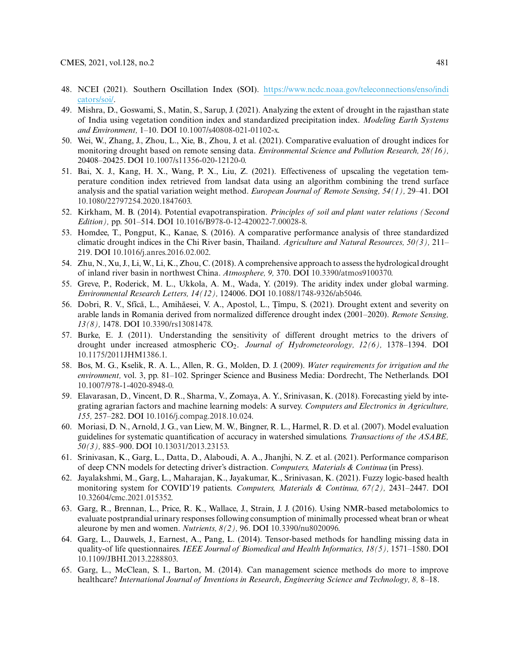- 48. NCEI (2021). Southern Oscillation Index (SOI). https://www.ncdc.noaa.gov/teleconnections/enso/indi cators/soi/.
- 49. Mishra, D., Goswami, S., Matin, S., Sarup, J. (2021). Analyzing the extent of drought in the rajasthan state of India using vegetation condition index and standardized precipitation index. *Modeling Earth Systems and Environment,* 1–10. DOI 10.1007/s40808-021-01102-x.
- 50. Wei, W., Zhang, J., Zhou, L., Xie, B., Zhou, J. et al. (2021). Comparative evaluation of drought indices for monitoring drought based on remote sensing data. *Environmental Science and Pollution Research, 28(16),* 20408–20425. DOI 10.1007/s11356-020-12120-0.
- 51. Bai, X. J., Kang, H. X., Wang, P. X., Liu, Z. (2021). Effectiveness of upscaling the vegetation temperature condition index retrieved from landsat data using an algorithm combining the trend surface analysis and the spatial variation weight method. *European Journal of Remote Sensing, 54(1),* 29–41. DOI 10.1080/22797254.2020.1847603.
- 52. Kirkham, M. B. (2014). Potential evapotranspiration. *Principles of soil and plant water relations (Second Edition),* pp. 501–514. DOI 10.1016/B978-0-12-420022-7.00028-8.
- 53. Homdee, T., Pongput, K., Kanae, S. (2016). A comparative performance analysis of three standardized climatic drought indices in the Chi River basin, Thailand. *Agriculture and Natural Resources, 50(3),* 211– 219. DOI 10.1016/j.anres.2016.02.002.
- 54. Zhu, N., Xu, J., Li, W., Li, K., Zhou, C. (2018). A comprehensive approach to assess the hydrological drought of inland river basin in northwest China. *Atmosphere, 9,* 370. DOI 10.3390/atmos9100370.
- 55. Greve, P., Roderick, M. L., Ukkola, A. M., Wada, Y. (2019). The aridity index under global warming. *Environmental Research Letters, 14(12),* 124006. DOI 10.1088/1748-9326/ab5046.
- 56. Dobri, R. V., Sfîcă, L., Amihăesei, V. A., Apostol, L., Țîmpu, S. (2021). Drought extent and severity on arable lands in Romania derived from normalized difference drought index (2001–2020). *Remote Sensing, 13(8),* 1478. DOI 10.3390/rs13081478.
- 57. Burke, E. J. (2011). Understanding the sensitivity of different drought metrics to the drivers of drought under increased atmospheric CO2. *Journal of Hydrometeorology, 12(6),* 1378–1394. DOI 10.1175/2011JHM1386.1.
- 58. Bos, M. G., Kselik, R. A. L., Allen, R. G., Molden, D. J. (2009). *Water requirements for irrigation and the environment,* vol. 3, pp. 81–102. Springer Science and Business Media: Dordrecht, The Netherlands. DOI 10.1007/978-1-4020-8948-0.
- 59. Elavarasan, D., Vincent, D. R., Sharma, V., Zomaya, A. Y., Srinivasan, K. (2018). Forecasting yield by integrating agrarian factors and machine learning models: A survey. *Computers and Electronics in Agriculture, 155,* 257–282. DOI 10.1016/j.compag.2018.10.024.
- 60. Moriasi, D. N., Arnold, J. G., van Liew, M. W., Bingner, R. L., Harmel, R. D. et al. (2007). Model evaluation guidelines for systematic quantification of accuracy in watershed simulations. *Transactions of the ASABE, 50(3),* 885–900. DOI 10.13031/2013.23153.
- 61. Srinivasan, K., Garg, L., Datta, D., Alaboudi, A. A., Jhanjhi, N. Z. et al. (2021). Performance comparison of deep CNN models for detecting driver's distraction. *Computers, Materials & Continua* (in Press).
- 62. Jayalakshmi, M., Garg, L., Maharajan, K., Jayakumar, K., Srinivasan, K. (2021). Fuzzy logic-based health monitoring system for COVID'19 patients. *Computers, Materials & Continua, 67(2),* 2431–2447. DOI 10.32604/cmc.2021.015352.
- 63. Garg, R., Brennan, L., Price, R. K., Wallace, J., Strain, J. J. (2016). Using NMR-based metabolomics to evaluate postprandial urinary responses following consumption of minimally processed wheat bran or wheat aleurone by men and women. *Nutrients, 8(2),* 96. DOI 10.3390/nu8020096.
- 64. Garg, L., Dauwels, J., Earnest, A., Pang, L. (2014). Tensor-based methods for handling missing data in quality-of life questionnaires. *IEEE Journal of Biomedical and Health Informatics, 18(5),* 1571–1580. DOI 10.1109/JBHI.2013.2288803.
- 65. Garg, L., McClean, S. I., Barton, M. (2014). Can management science methods do more to improve healthcare? *International Journal of Inventions in Research*, *Engineering Science and Technology, 8,* 8–18.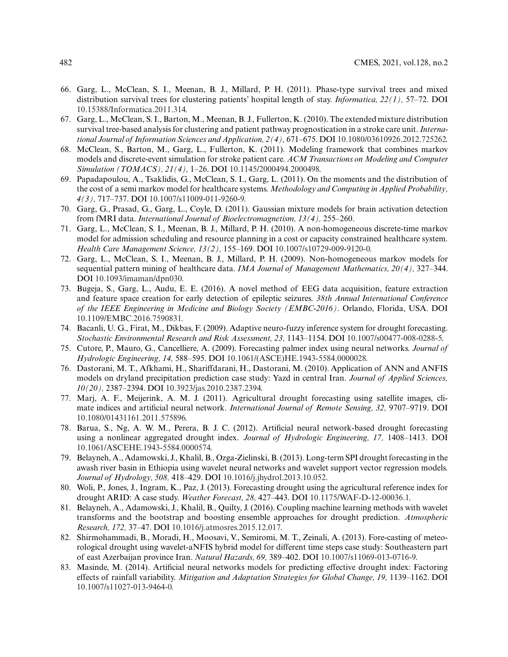- 66. Garg, L., McClean, S. I., Meenan, B. J., Millard, P. H. (2011). Phase-type survival trees and mixed distribution survival trees for clustering patients' hospital length of stay. *Informatica, 22(1),* 57–72. DOI 10.15388/Informatica.2011.314.
- 67. Garg, L., McClean, S. I., Barton, M., Meenan, B. J., Fullerton, K. (2010). The extended mixture distribution survival tree-based analysis for clustering and patient pathway prognostication in a stroke care unit. *International Journal of Information Sciences and Application, 2(4),* 671–675. DOI 10.1080/03610926.2012.725262.
- 68. McClean, S., Barton, M., Garg, L., Fullerton, K. (2011). Modeling framework that combines markov models and discrete-event simulation for stroke patient care. *ACM Transactions on Modeling and Computer Simulation (TOMACS), 21(4),* 1–26. DOI 10.1145/2000494.2000498.
- 69. Papadapoulou, A., Tsaklidis, G., McClean, S. I., Garg, L. (2011). On the moments and the distribution of the cost of a semi markov model for healthcare systems. *Methodology and Computing in Applied Probability, 4(3),* 717–737. DOI 10.1007/s11009-011-9260-9.
- 70. Garg, G., Prasad, G., Garg, L., Coyle, D. (2011). Gaussian mixture models for brain activation detection from fMRI data. *International Journal of Bioelectromagnetism, 13(4),* 255–260.
- 71. Garg, L., McClean, S. I., Meenan, B. J., Millard, P. H. (2010). A non-homogeneous discrete-time markov model for admission scheduling and resource planning in a cost or capacity constrained healthcare system. *Health Care Management Science, 13(2),* 155–169. DOI 10.1007/s10729-009-9120-0.
- 72. Garg, L., McClean, S. I., Meenan, B. J., Millard, P. H. (2009). Non-homogeneous markov models for sequential pattern mining of healthcare data. *IMA Journal of Management Mathematics, 20(4),* 327–344. DOI 10.1093/imaman/dpn030.
- 73. Bugeja, S., Garg, L., Audu, E. E. (2016). A novel method of EEG data acquisition, feature extraction and feature space creation for early detection of epileptic seizures. *38th Annual International Conference of the IEEE Engineering in Medicine and Biology Society (EMBC-2016)*. Orlando, Florida, USA. DOI 10.1109/EMBC.2016.7590831.
- 74. Bacanli, U. G., Firat, M., Dikbas, F. (2009). Adaptive neuro-fuzzy inference system for drought forecasting. *Stochastic Environmental Research and Risk Assessment, 23,* 1143–1154. DOI 10.1007/s00477-008-0288-5.
- 75. Cutore, P., Mauro, G., Cancelliere, A. (2009). Forecasting palmer index using neural networks. *Journal of Hydrologic Engineering, 14,* 588–595. DOI 10.1061/(ASCE)HE.1943-5584.0000028.
- 76. Dastorani, M. T., Afkhami, H., Shariffdarani, H., Dastorani, M. (2010). Application of ANN and ANFIS models on dryland precipitation prediction case study: Yazd in central Iran. *Journal of Applied Sciences, 10(20),* 2387–2394. DOI 10.3923/jas.2010.2387.2394.
- 77. Marj, A. F., Meijerink, A. M. J. (2011). Agricultural drought forecasting using satellite images, climate indices and artificial neural network. *International Journal of Remote Sensing, 32,* 9707–9719. DOI 10.1080/01431161.2011.575896.
- 78. Barua, S., Ng, A. W. M., Perera, B. J. C. (2012). Artificial neural network-based drought forecasting using a nonlinear aggregated drought index. *Journal of Hydrologic Engineering, 17,* 1408–1413. DOI 10.1061/ASCEHE.1943-5584.0000574.
- 79. Belayneh, A., Adamowski, J., Khalil, B., Ozga-Zielinski, B. (2013). Long-term SPI drought forecasting in the awash river basin in Ethiopia using wavelet neural networks and wavelet support vector regression models. *Journal of Hydrology, 508,* 418–429. DOI 10.1016/j.jhydrol.2013.10.052.
- 80. Woli, P., Jones, J., Ingram, K., Paz, J. (2013). Forecasting drought using the agricultural reference index for drought ARID: A case study. *Weather Forecast, 28,* 427–443. DOI 10.1175/WAF-D-12-00036.1.
- 81. Belayneh, A., Adamowski, J., Khalil, B., Quilty, J. (2016). Coupling machine learning methods with wavelet transforms and the bootstrap and boosting ensemble approaches for drought prediction. *Atmospheric Research, 172,* 37–47. DOI 10.1016/j.atmosres.2015.12.017.
- 82. Shirmohammadi, B., Moradi, H., Moosavi, V., Semiromi, M. T., Zeinali, A. (2013). Fore-casting of meteorological drought using wavelet-aNFIS hybrid model for different time steps case study: Southeastern part of east Azerbaijan province Iran. *Natural Hazards, 69,* 389–402. DOI 10.1007/s11069-013-0716-9.
- 83. Masinde, M. (2014). Artificial neural networks models for predicting effective drought index: Factoring effects of rainfall variability. *Mitigation and Adaptation Strategies for Global Change, 19,* 1139–1162. DOI 10.1007/s11027-013-9464-0.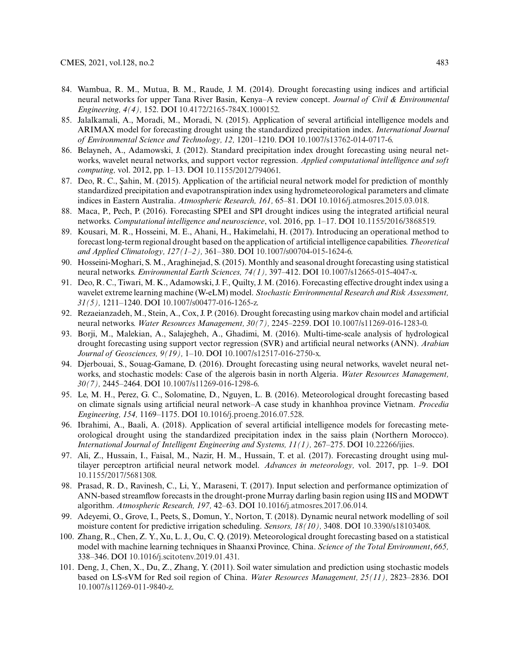- 84. Wambua, R. M., Mutua, B. M., Raude, J. M. (2014). Drought forecasting using indices and artificial neural networks for upper Tana River Basin, Kenya–A review concept. *Journal of Civil & Environmental Engineering, 4(4),* 152. DOI 10.4172/2165-784X.1000152.
- 85. Jalalkamali, A., Moradi, M., Moradi, N. (2015). Application of several artificial intelligence models and ARIMAX model for forecasting drought using the standardized precipitation index. *International Journal of Environmental Science and Technology, 12,* 1201–1210. DOI 10.1007/s13762-014-0717-6.
- 86. Belayneh, A., Adamowski, J. (2012). Standard precipitation index drought forecasting using neural networks, wavelet neural networks, and support vector regression. *Applied computational intelligence and soft computing,* vol. 2012, pp. 1–13. DOI 10.1155/2012/794061.
- 87. Deo, R. C., Sahin, M. (2015). Application of the artificial neural network model for prediction of monthly standardized precipitation and evapotranspiration index using hydrometeorological parameters and climate indices in Eastern Australia. *Atmospheric Research, 161,* 65–81. DOI 10.1016/j.atmosres.2015.03.018.
- 88. Maca, P., Pech, P. (2016). Forecasting SPEI and SPI drought indices using the integrated artificial neural networks. *Computational intelligence and neuroscience*, vol. 2016, pp. 1–17. DOI 10.1155/2016/3868519.
- 89. Kousari, M. R., Hosseini, M. E., Ahani, H., Hakimelahi, H. (2017). Introducing an operational method to forecast long-term regional drought based on the application of artificial intelligence capabilities. *Theoretical and Applied Climatology, 127(1–2),* 361–380. DOI 10.1007/s00704-015-1624-6.
- 90. Hosseini-Moghari, S. M., Araghinejad, S. (2015). Monthly and seasonal drought forecasting using statistical neural networks. *Environmental Earth Sciences, 74(1),* 397–412. DOI 10.1007/s12665-015-4047-x.
- 91. Deo, R. C., Tiwari, M. K., Adamowski, J. F., Quilty, J. M. (2016). Forecasting effective drought index using a wavelet extreme learning machine (W-eLM) model. *Stochastic Environmental Research and Risk Assessment, 31(5),* 1211–1240. DOI 10.1007/s00477-016-1265-z.
- 92. Rezaeianzadeh, M., Stein, A., Cox, J. P. (2016). Drought forecasting using markov chain model and artificial neural networks. *Water Resources Management, 30(7),* 2245–2259. DOI 10.1007/s11269-016-1283-0.
- 93. Borji, M., Malekian, A., Salajegheh, A., Ghadimi, M. (2016). Multi-time-scale analysis of hydrological drought forecasting using support vector regression (SVR) and artificial neural networks (ANN). *Arabian Journal of Geosciences, 9(19),* 1–10. DOI 10.1007/s12517-016-2750-x.
- 94. Djerbouai, S., Souag-Gamane, D. (2016). Drought forecasting using neural networks, wavelet neural networks, and stochastic models: Case of the algerois basin in north Algeria. *Water Resources Management, 30(7),* 2445–2464. DOI 10.1007/s11269-016-1298-6.
- 95. Le, M. H., Perez, G. C., Solomatine, D., Nguyen, L. B. (2016). Meteorological drought forecasting based on climate signals using artificial neural network–A case study in khanhhoa province Vietnam. *Procedia Engineering, 154,* 1169–1175. DOI 10.1016/j.proeng.2016.07.528.
- 96. Ibrahimi, A., Baali, A. (2018). Application of several artificial intelligence models for forecasting meteorological drought using the standardized precipitation index in the saiss plain (Northern Morocco). *International Journal of Intelligent Engineering and Systems, 11(1),* 267–275. DOI 10.22266/ijies.
- 97. Ali, Z., Hussain, I., Faisal, M., Nazir, H. M., Hussain, T. et al. (2017). Forecasting drought using multilayer perceptron artificial neural network model. *Advances in meteorology,* vol. 2017, pp. 1–9. DOI 10.1155/2017/5681308.
- 98. Prasad, R. D., Ravinesh, C., Li, Y., Maraseni, T. (2017). Input selection and performance optimization of ANN-based streamflow forecasts in the drought-proneMurray darling basin region using IIS and MODWT algorithm. *Atmospheric Research, 197,* 42–63. DOI 10.1016/j.atmosres.2017.06.014.
- 99. Adeyemi, O., Grove, I., Peets, S., Domun, Y., Norton, T. (2018). Dynamic neural network modelling of soil moisture content for predictive irrigation scheduling. *Sensors, 18(10),* 3408. DOI 10.3390/s18103408.
- 100. Zhang, R., Chen, Z. Y., Xu, L. J., Ou, C. Q. (2019). Meteorological drought forecasting based on a statistical model with machine learning techniques in Shaanxi Province*,* China. *Science of the Total Environment*, *665,* 338–346. DOI 10.1016/j.scitotenv.2019.01.431.
- 101. Deng, J., Chen, X., Du, Z., Zhang, Y. (2011). Soil water simulation and prediction using stochastic models based on LS-sVM for Red soil region of China. *Water Resources Management, 25(11),* 2823–2836. DOI 10.1007/s11269-011-9840-z.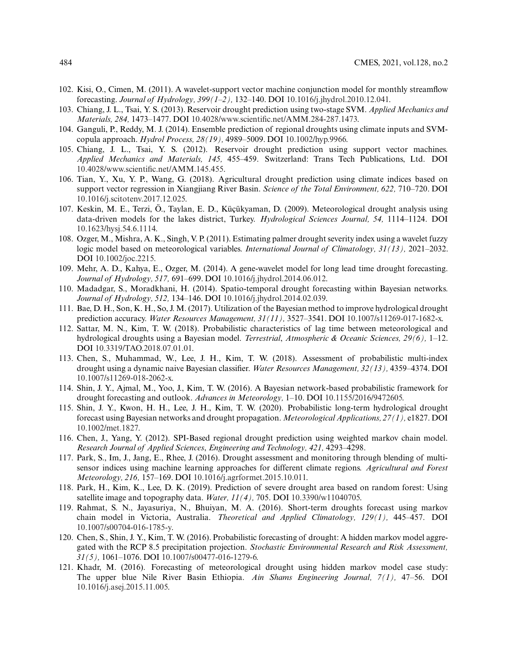- 102. Kisi, O., Cimen, M. (2011). A wavelet-support vector machine conjunction model for monthly streamflow forecasting. *Journal of Hydrology, 399(1–2),* 132–140. DOI 10.1016/j.jhydrol.2010.12.041.
- 103. Chiang, J. L., Tsai, Y. S. (2013). Reservoir drought prediction using two-stage SVM. *Applied Mechanics and Materials, 284,* 1473–1477. DOI 10.4028/www.scientific.net/AMM.284-287.1473.
- 104. Ganguli, P., Reddy, M. J. (2014). Ensemble prediction of regional droughts using climate inputs and SVMcopula approach. *Hydrol Process, 28(19),* 4989–5009. DOI 10.1002/hyp.9966.
- 105. Chiang, J. L., Tsai, Y. S. (2012). Reservoir drought prediction using support vector machines. *Applied Mechanics and Materials, 145,* 455–459. Switzerland: Trans Tech Publications, Ltd. DOI 10.4028/www.scientific.net/AMM.145.455.
- 106. Tian, Y., Xu, Y. P., Wang, G. (2018). Agricultural drought prediction using climate indices based on support vector regression in Xiangjiang River Basin. *Science of the Total Environment, 622,* 710–720. DOI 10.1016/j.scitotenv.2017.12.025.
- 107. Keskin, M. E., Terzi, Ö., Taylan, E. D., Küçükyaman, D. (2009). Meteorological drought analysis using data-driven models for the lakes district, Turkey. *Hydrological Sciences Journal, 54,* 1114–1124. DOI 10.1623/hysj.54.6.1114.
- 108. Ozger, M., Mishra, A. K., Singh, V. P. (2011). Estimating palmer drought severity index using a wavelet fuzzy logic model based on meteorological variables. *International Journal of Climatology, 31(13),* 2021–2032. DOI 10.1002/joc.2215.
- 109. Mehr, A. D., Kahya, E., Ozger, M. (2014). A gene-wavelet model for long lead time drought forecasting. *Journal of Hydrology, 517,* 691–699. DOI 10.1016/j.jhydrol.2014.06.012.
- 110. Madadgar, S., Moradkhani, H. (2014). Spatio-temporal drought forecasting within Bayesian networks. *Journal of Hydrology, 512,* 134–146. DOI 10.1016/j.jhydrol.2014.02.039.
- 111. Bae, D. H., Son, K. H., So, J. M. (2017). Utilization of the Bayesian method to improve hydrological drought prediction accuracy. *Water Resources Management, 31(11),* 3527–3541. DOI 10.1007/s11269-017-1682-x.
- 112. Sattar, M. N., Kim, T. W. (2018). Probabilistic characteristics of lag time between meteorological and hydrological droughts using a Bayesian model. *Terrestrial*, *Atmospheric & Oceanic Sciences, 29(6),* 1–12. DOI 10.3319/TAO.2018.07.01.01.
- 113. Chen, S., Muhammad, W., Lee, J. H., Kim, T. W. (2018). Assessment of probabilistic multi-index drought using a dynamic naive Bayesian classifier. *Water Resources Management, 32(13),* 4359–4374. DOI 10.1007/s11269-018-2062-x.
- 114. Shin, J. Y., Ajmal, M., Yoo, J., Kim, T. W. (2016). A Bayesian network-based probabilistic framework for drought forecasting and outlook. *Advances in Meteorology,* 1–10. DOI 10.1155/2016/9472605.
- 115. Shin, J. Y., Kwon, H. H., Lee, J. H., Kim, T. W. (2020). Probabilistic long-term hydrological drought forecast using Bayesian networks and drought propagation. *Meteorological Applications, 27(1),* e1827. DOI 10.1002/met.1827.
- 116. Chen, J., Yang, Y. (2012). SPI-Based regional drought prediction using weighted markov chain model. *Research Journal of Applied Sciences*, *Engineering and Technology, 421,* 4293–4298.
- 117. Park, S., Im, J., Jang, E., Rhee, J. (2016). Drought assessment and monitoring through blending of multisensor indices using machine learning approaches for different climate regions. *Agricultural and Forest Meteorology, 216,* 157–169. DOI 10.1016/j.agrformet.2015.10.011.
- 118. Park, H., Kim, K., Lee, D. K. (2019). Prediction of severe drought area based on random forest: Using satellite image and topography data. *Water, 11(4),* 705. DOI 10.3390/w11040705.
- 119. Rahmat, S. N., Jayasuriya, N., Bhuiyan, M. A. (2016). Short-term droughts forecast using markov chain model in Victoria, Australia. *Theoretical and Applied Climatology, 129(1),* 445–457. DOI 10.1007/s00704-016-1785-y.
- 120. Chen, S., Shin, J. Y., Kim, T. W. (2016). Probabilistic forecasting of drought: A hidden markov model aggregated with the RCP 8.5 precipitation projection. *Stochastic Environmental Research and Risk Assessment, 31(5),* 1061–1076. DOI 10.1007/s00477-016-1279-6.
- 121. Khadr, M. (2016). Forecasting of meteorological drought using hidden markov model case study: The upper blue Nile River Basin Ethiopia. *Ain Shams Engineering Journal, 7(1),* 47–56. DOI 10.1016/j.asej.2015.11.005.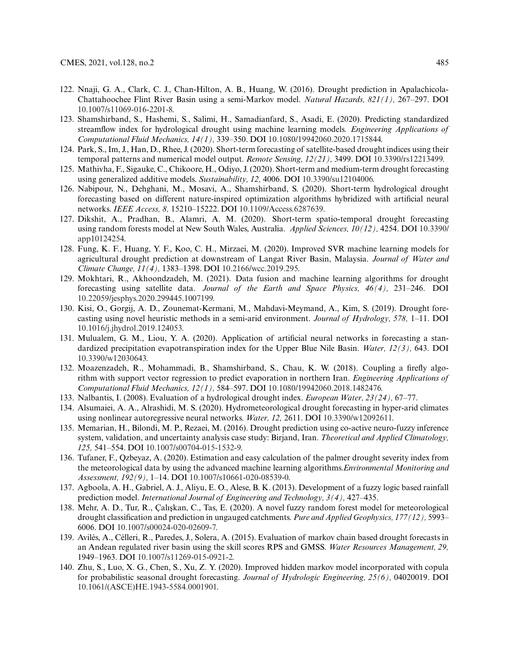- 122. Nnaji, G. A., Clark, C. J., Chan-Hilton, A. B., Huang, W. (2016). Drought prediction in Apalachicola-Chattahoochee Flint River Basin using a semi-Markov model. *Natural Hazards, 821(1),* 267–297. DOI 10.1007/s11069-016-2201-8.
- 123. Shamshirband, S., Hashemi, S., Salimi, H., Samadianfard, S., Asadi, E. (2020). Predicting standardized streamflow index for hydrological drought using machine learning models. *Engineering Applications of Computational Fluid Mechanics, 14(1),* 339–350. DOI 10.1080/19942060.2020.1715844.
- 124. Park, S., Im, J., Han, D., Rhee, J. (2020). Short-term forecasting of satellite-based drought indices using their temporal patterns and numerical model output. *Remote Sensing, 12(21),* 3499. DOI 10.3390/rs12213499.
- 125. Mathivha, F., Sigauke, C., Chikoore, H., Odiyo, J. (2020). Short-term and medium-term drought forecasting using generalized additive models. *Sustainability, 12,* 4006. DOI 10.3390/su12104006.
- 126. Nabipour, N., Dehghani, M., Mosavi, A., Shamshirband, S. (2020). Short-term hydrological drought forecasting based on different nature-inspired optimization algorithms hybridized with artificial neural networks. *IEEE Access, 8,* 15210–15222. DOI 10.1109/Access.6287639.
- 127. Dikshit, A., Pradhan, B., Alamri, A. M. (2020). Short-term spatio-temporal drought forecasting using random forests model at New South Wales, Australia. *Applied Sciences, 10(12),* 4254. DOI 10.3390/ app10124254.
- 128. Fung, K. F., Huang, Y. F., Koo, C. H., Mirzaei, M. (2020). Improved SVR machine learning models for agricultural drought prediction at downstream of Langat River Basin, Malaysia. *Journal of Water and Climate Change, 11(4),* 1383–1398. DOI 10.2166/wcc.2019.295.
- 129. Mokhtari, R., Akhoondzadeh, M. (2021). Data fusion and machine learning algorithms for drought forecasting using satellite data. *Journal of the Earth and Space Physics, 46(4),* 231–246. DOI 10.22059/jesphys.2020.299445.1007199.
- 130. Kisi, O., Gorgij, A. D., Zounemat-Kermani, M., Mahdavi-Meymand, A., Kim, S. (2019). Drought forecasting using novel heuristic methods in a semi-arid environment. *Journal of Hydrology, 578,* 1–11. DOI 10.1016/j.jhydrol.2019.124053.
- 131. Mulualem, G. M., Liou, Y. A. (2020). Application of artificial neural networks in forecasting a standardized precipitation evapotranspiration index for the Upper Blue Nile Basin. *Water, 12(3),* 643. DOI 10.3390/w12030643.
- 132. Moazenzadeh, R., Mohammadi, B., Shamshirband, S., Chau, K. W. (2018). Coupling a firefly algorithm with support vector regression to predict evaporation in northern Iran. *Engineering Applications of Computational Fluid Mechanics, 12(1),* 584–597. DOI 10.1080/19942060.2018.1482476.
- 133. Nalbantis, I. (2008). Evaluation of a hydrological drought index. *European Water, 23(24),* 67–77.
- 134. Alsumaiei, A. A., Alrashidi, M. S. (2020). Hydrometeorological drought forecasting in hyper-arid climates using nonlinear autoregressive neural networks. *Water, 12,* 2611. DOI 10.3390/w12092611.
- 135. Memarian, H., Bilondi, M. P., Rezaei, M. (2016). Drought prediction using co-active neuro-fuzzy inference system, validation, and uncertainty analysis case study: Birjand, Iran. *Theoretical and Applied Climatology, 125,* 541–554. DOI 10.1007/s00704-015-1532-9.
- 136. Tufaner, F., Qzbeyaz, A. (2020). Estimation and easy calculation of the palmer drought severity index from the meteorological data by using the advanced machine learning algorithms.*Environmental Monitoring and Assessment, 192(9),* 1–14. DOI 10.1007/s10661-020-08539-0.
- 137. Agboola, A. H., Gabriel, A. J., Aliyu, E. O., Alese, B. K. (2013). Development of a fuzzy logic based rainfall prediction model. *International Journal of Engineering and Technology, 3(4),* 427–435.
- 138. Mehr, A. D., Tur, R., Caliskan, C., Tas, E. (2020). A novel fuzzy random forest model for meteorological drought classification and prediction in ungauged catchments. *Pure and Applied Geophysics, 177(12),* 5993– 6006. DOI 10.1007/s00024-020-02609-7.
- 139. Avilés, A., Célleri, R., Paredes, J., Solera, A. (2015). Evaluation of markov chain based drought forecasts in an Andean regulated river basin using the skill scores RPS and GMSS. *Water Resources Management, 29,* 1949–1963. DOI 10.1007/s11269-015-0921-2.
- 140. Zhu, S., Luo, X. G., Chen, S., Xu, Z. Y. (2020). Improved hidden markov model incorporated with copula for probabilistic seasonal drought forecasting. *Journal of Hydrologic Engineering, 25(6),* 04020019. DOI 10.1061/(ASCE)HE.1943-5584.0001901.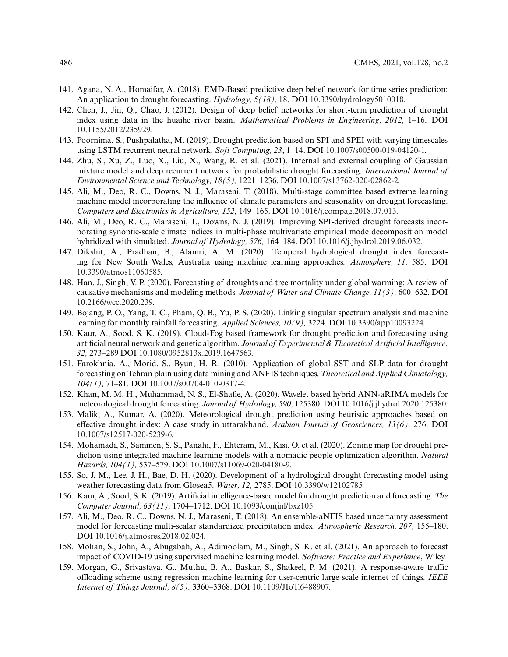- 141. Agana, N. A., Homaifar, A. (2018). EMD-Based predictive deep belief network for time series prediction: An application to drought forecasting. *Hydrology, 5(18),* 18. DOI 10.3390/hydrology5010018.
- 142. Chen, J., Jin, Q., Chao, J. (2012). Design of deep belief networks for short-term prediction of drought index using data in the huaihe river basin. *Mathematical Problems in Engineering, 2012,* 1–16. DOI 10.1155/2012/235929.
- 143. Poornima, S., Pushpalatha, M. (2019). Drought prediction based on SPI and SPEI with varying timescales using LSTM recurrent neural network. *Soft Computing, 23*, 1–14. DOI 10.1007/s00500-019-04120-1.
- 144. Zhu, S., Xu, Z., Luo, X., Liu, X., Wang, R. et al. (2021). Internal and external coupling of Gaussian mixture model and deep recurrent network for probabilistic drought forecasting. *International Journal of Environmental Science and Technology, 18(5),* 1221–1236. DOI 10.1007/s13762-020-02862-2.
- 145. Ali, M., Deo, R. C., Downs, N. J., Maraseni, T. (2018). Multi-stage committee based extreme learning machine model incorporating the influence of climate parameters and seasonality on drought forecasting. *Computers and Electronics in Agriculture, 152,* 149–165. DOI 10.1016/j.compag.2018.07.013.
- 146. Ali, M., Deo, R. C., Maraseni, T., Downs, N. J. (2019). Improving SPI-derived drought forecasts incorporating synoptic-scale climate indices in multi-phase multivariate empirical mode decomposition model hybridized with simulated. *Journal of Hydrology, 576,* 164–184. DOI 10.1016/j.jhydrol.2019.06.032.
- 147. Dikshit, A., Pradhan, B., Alamri, A. M. (2020). Temporal hydrological drought index forecasting for New South Wales, Australia using machine learning approaches. *Atmosphere, 11,* 585. DOI 10.3390/atmos11060585.
- 148. Han, J., Singh, V. P. (2020). Forecasting of droughts and tree mortality under global warming: A review of causative mechanisms and modeling methods. *Journal of Water and Climate Change, 11(3),* 600–632. DOI 10.2166/wcc.2020.239.
- 149. Bojang, P. O., Yang, T. C., Pham, Q. B., Yu, P. S. (2020). Linking singular spectrum analysis and machine learning for monthly rainfall forecasting. *Applied Sciences, 10(9),* 3224. DOI 10.3390/app10093224.
- 150. Kaur, A., Sood, S. K. (2019). Cloud-Fog based framework for drought prediction and forecasting using artificial neural network and genetic algorithm. *Journal of Experimental & Theoretical Artificial Intelligence*, *32,* 273–289 DOI 10.1080/0952813x.2019.1647563.
- 151. Farokhnia, A., Morid, S., Byun, H. R. (2010). Application of global SST and SLP data for drought forecasting on Tehran plain using data mining and ANFIS techniques. *Theoretical and Applied Climatology, 104(1),* 71–81. DOI 10.1007/s00704-010-0317-4.
- 152. Khan, M. M. H., Muhammad, N. S., El-Shafie, A. (2020). Wavelet based hybrid ANN-aRIMA models for meteorological drought forecasting. *Journal of Hydrology, 590,* 125380. DOI 10.1016/j.jhydrol.2020.125380.
- 153. Malik, A., Kumar, A. (2020). Meteorological drought prediction using heuristic approaches based on effective drought index: A case study in uttarakhand. *Arabian Journal of Geosciences, 13(6),* 276. DOI 10.1007/s12517-020-5239-6.
- 154. Mohamadi, S., Sammen, S. S., Panahi, F., Ehteram, M., Kisi, O. et al. (2020). Zoning map for drought prediction using integrated machine learning models with a nomadic people optimization algorithm. *Natural Hazards, 104(1),* 537–579. DOI 10.1007/s11069-020-04180-9.
- 155. So, J. M., Lee, J. H., Bae, D. H. (2020). Development of a hydrological drought forecasting model using weather forecasting data from Glosea5. *Water, 12,* 2785. DOI 10.3390/w12102785.
- 156. Kaur, A., Sood, S. K. (2019). Artificial intelligence-based model for drought prediction and forecasting. *The Computer Journal, 63(11),* 1704–1712. DOI 10.1093/comjnl/bxz105.
- 157. Ali, M., Deo, R. C., Downs, N. J., Maraseni, T. (2018). An ensemble-aNFIS based uncertainty assessment model for forecasting multi-scalar standardized precipitation index. *Atmospheric Research, 207,* 155–180. DOI 10.1016/j.atmosres.2018.02.024.
- 158. Mohan, S., John, A., Abugabah, A., Adimoolam, M., Singh, S. K. et al. (2021). An approach to forecast impact of COVID-19 using supervised machine learning model. *Software: Practice and Experience*, Wiley.
- 159. Morgan, G., Srivastava, G., Muthu, B. A., Baskar, S., Shakeel, P. M. (2021). A response-aware traffic offloading scheme using regression machine learning for user-centric large scale internet of things. *IEEE Internet of Things Journal, 8(5),* 3360–3368. DOI 10.1109/JIoT.6488907.